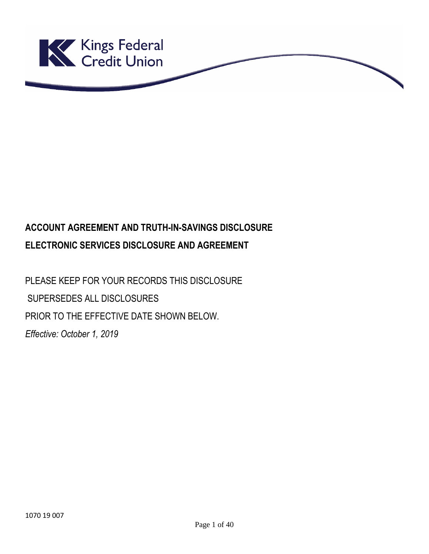

# **ACCOUNT AGREEMENT AND TRUTH-IN-SAVINGS DISCLOSURE ELECTRONIC SERVICES DISCLOSURE AND AGREEMENT**

PLEASE KEEP FOR YOUR RECORDS THIS DISCLOSURE SUPERSEDES ALL DISCLOSURES PRIOR TO THE EFFECTIVE DATE SHOWN BELOW. *Effective: October 1, 2019*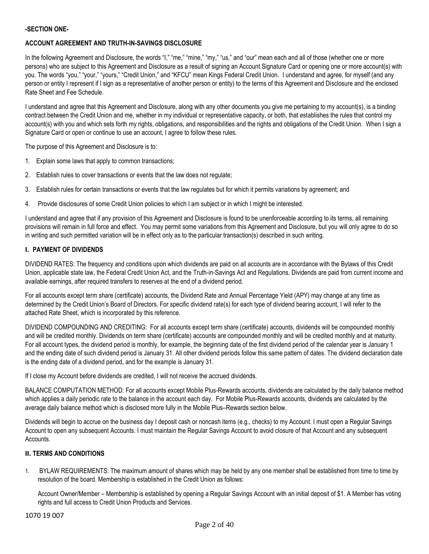## **-SECTION ONE-**

# **ACCOUNT AGREEMENT AND TRUTH-IN-SAVINGS DISCLOSURE**

In the following Agreement and Disclosure, the words "I," "me," "mine," "my," "us," and "our" mean each and all of those (whether one or more persons) who are subject to this Agreement and Disclosure as a result of signing an Account Signature Card or opening one or more account(s) with you. The words "you," "your," "yours," "Credit Union," and "KFCU" mean Kings Federal Credit Union. I understand and agree, for myself (and any person or entity I represent if I sign as a representative of another person or entity) to the terms of this Agreement and Disclosure and the enclosed Rate Sheet and Fee Schedule.

I understand and agree that this Agreement and Disclosure, along with any other documents you give me pertaining to my account(s), is a binding contract between the Credit Union and me, whether in my individual or representative capacity, or both, that establishes the rules that control my account(s) with you and which sets forth my rights, obligations, and responsibilities and the rights and obligations of the Credit Union. When I sign a Signature Card or open or continue to use an account, I agree to follow these rules.

The purpose of this Agreement and Disclosure is to:

- 1. Explain some laws that apply to common transactions;
- 2. Establish rules to cover transactions or events that the law does not regulate;
- 3. Establish rules for certain transactions or events that the law regulates but for which it permits variations by agreement; and
- 4. Provide disclosures of some Credit Union policies to which I am subject or in which I might be interested.

I understand and agree that if any provision of this Agreement and Disclosure is found to be unenforceable according to its terms, all remaining provisions will remain in full force and effect. You may permit some variations from this Agreement and Disclosure, but you will only agree to do so in writing and such permitted variation will be in effect only as to the particular transaction(s) described in such writing.

### **I. PAYMENT OF DIVIDENDS**

DIVIDEND RATES: The frequency and conditions upon which dividends are paid on all accounts are in accordance with the Bylaws of this Credit Union, applicable state law, the Federal Credit Union Act, and the Truth-in-Savings Act and Regulations. Dividends are paid from current income and available earnings, after required transfers to reserves at the end of a dividend period.

For all accounts except term share (certificate) accounts, the Dividend Rate and Annual Percentage Yield (APY) may change at any time as determined by the Credit Union's Board of Directors. For specific dividend rate(s) for each type of dividend bearing account, I will refer to the attached Rate Sheet, which is incorporated by this reference.

DIVIDEND COMPOUNDING AND CREDITING: For all accounts except term share (certificate) accounts, dividends will be compounded monthly and will be credited monthly. Dividends on term share (certificate) accounts are compounded monthly and will be credited monthly and at maturity. For all account types, the dividend period is monthly, for example, the beginning date of the first dividend period of the calendar year is January 1 and the ending date of such dividend period is January 31. All other dividend periods follow this same pattern of dates. The dividend declaration date is the ending date of a dividend period, and for the example is January 31.

If I close my Account before dividends are credited, I will not receive the accrued dividends.

BALANCE COMPUTATION METHOD: For all accounts except Mobile Plus-Rewards accounts, dividends are calculated by the daily balance method which applies a daily periodic rate to the balance in the account each day. For Mobile Plus-Rewards accounts, dividends are calculated by the average daily balance method which is disclosed more fully in the Mobile Plus–Rewards section below.

Dividends will begin to accrue on the business day I deposit cash or noncash items (e.g., checks) to my Account. I must open a Regular Savings Account to open any subsequent Accounts. I must maintain the Regular Savings Account to avoid closure of that Account and any subsequent Accounts.

#### **II. TERMS AND CONDITIONS**

1. BYLAW REQUIREMENTS: The maximum amount of shares which may be held by any one member shall be established from time to time by resolution of the board. Membership is established in the Credit Union as follows:

Account Owner/Member – Membership is established by opening a Regular Savings Account with an initial deposit of \$1. A Member has voting rights and full access to Credit Union Products and Services.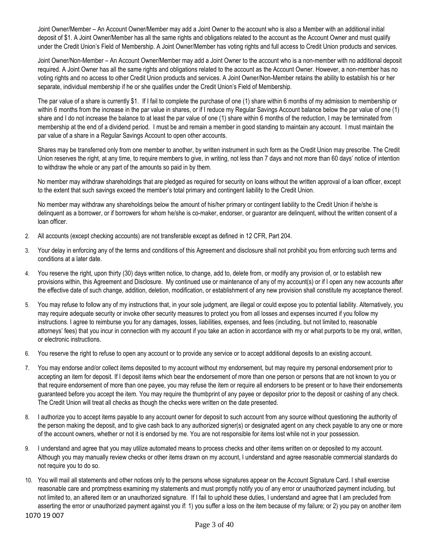Joint Owner/Member – An Account Owner/Member may add a Joint Owner to the account who is also a Member with an additional initial deposit of \$1. A Joint Owner/Member has all the same rights and obligations related to the account as the Account Owner and must qualify under the Credit Union's Field of Membership. A Joint Owner/Member has voting rights and full access to Credit Union products and services.

Joint Owner/Non-Member – An Account Owner/Member may add a Joint Owner to the account who is a non-member with no additional deposit required. A Joint Owner has all the same rights and obligations related to the account as the Account Owner. However, a non-member has no voting rights and no access to other Credit Union products and services. A Joint Owner/Non-Member retains the ability to establish his or her separate, individual membership if he or she qualifies under the Credit Union's Field of Membership.

The par value of a share is currently \$1. If I fail to complete the purchase of one (1) share within 6 months of my admission to membership or within 6 months from the increase in the par value in shares, or if I reduce my Regular Savings Account balance below the par value of one (1) share and I do not increase the balance to at least the par value of one (1) share within 6 months of the reduction, I may be terminated from membership at the end of a dividend period. I must be and remain a member in good standing to maintain any account. I must maintain the par value of a share in a Regular Savings Account to open other accounts.

Shares may be transferred only from one member to another, by written instrument in such form as the Credit Union may prescribe. The Credit Union reserves the right, at any time, to require members to give, in writing, not less than 7 days and not more than 60 days' notice of intention to withdraw the whole or any part of the amounts so paid in by them.

No member may withdraw shareholdings that are pledged as required for security on loans without the written approval of a loan officer, except to the extent that such savings exceed the member's total primary and contingent liability to the Credit Union.

No member may withdraw any shareholdings below the amount of his/her primary or contingent liability to the Credit Union if he/she is delinquent as a borrower, or if borrowers for whom he/she is co-maker, endorser, or guarantor are delinquent, without the written consent of a loan officer.

- 2. All accounts (except checking accounts) are not transferable except as defined in 12 CFR, Part 204.
- 3. Your delay in enforcing any of the terms and conditions of this Agreement and disclosure shall not prohibit you from enforcing such terms and conditions at a later date.
- 4. You reserve the right, upon thirty (30) days written notice, to change, add to, delete from, or modify any provision of, or to establish new provisions within, this Agreement and Disclosure. My continued use or maintenance of any of my account(s) or if I open any new accounts after the effective date of such change, addition, deletion, modification, or establishment of any new provision shall constitute my acceptance thereof.
- 5. You may refuse to follow any of my instructions that, in your sole judgment, are illegal or could expose you to potential liability. Alternatively, you may require adequate security or invoke other security measures to protect you from all losses and expenses incurred if you follow my instructions. I agree to reimburse you for any damages, losses, liabilities, expenses, and fees (including, but not limited to, reasonable attorneys' fees) that you incur in connection with my account if you take an action in accordance with my or what purports to be my oral, written, or electronic instructions.
- 6. You reserve the right to refuse to open any account or to provide any service or to accept additional deposits to an existing account.
- 7. You may endorse and/or collect items deposited to my account without my endorsement, but may require my personal endorsement prior to accepting an item for deposit. If I deposit items which bear the endorsement of more than one person or persons that are not known to you or that require endorsement of more than one payee, you may refuse the item or require all endorsers to be present or to have their endorsements guaranteed before you accept the item. You may require the thumbprint of any payee or depositor prior to the deposit or cashing of any check. The Credit Union will treat all checks as though the checks were written on the date presented.
- 8. I authorize you to accept items payable to any account owner for deposit to such account from any source without questioning the authority of the person making the deposit, and to give cash back to any authorized signer(s) or designated agent on any check payable to any one or more of the account owners, whether or not it is endorsed by me. You are not responsible for items lost while not in your possession.
- 9. I understand and agree that you may utilize automated means to process checks and other items written on or deposited to my account. Although you may manually review checks or other items drawn on my account, I understand and agree reasonable commercial standards do not require you to do so.
- 1070 19 007 10. You will mail all statements and other notices only to the persons whose signatures appear on the Account Signature Card. I shall exercise reasonable care and promptness examining my statements and must promptly notify you of any error or unauthorized payment including, but not limited to, an altered item or an unauthorized signature. If I fail to uphold these duties, I understand and agree that I am precluded from asserting the error or unauthorized payment against you if: 1) you suffer a loss on the item because of my failure; or 2) you pay on another item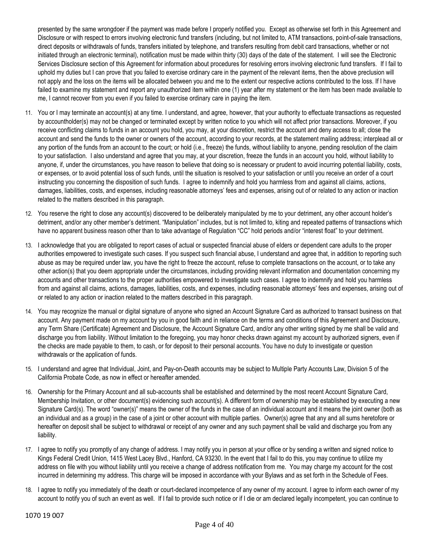presented by the same wrongdoer if the payment was made before I properly notified you. Except as otherwise set forth in this Agreement and Disclosure or with respect to errors involving electronic fund transfers (including, but not limited to, ATM transactions, point-of-sale transactions, direct deposits or withdrawals of funds, transfers initiated by telephone, and transfers resulting from debit card transactions, whether or not initiated through an electronic terminal), notification must be made within thirty (30) days of the date of the statement. I will see the Electronic Services Disclosure section of this Agreement for information about procedures for resolving errors involving electronic fund transfers. If I fail to uphold my duties but I can prove that you failed to exercise ordinary care in the payment of the relevant items, then the above preclusion will not apply and the loss on the items will be allocated between you and me to the extent our respective actions contributed to the loss. If I have failed to examine my statement and report any unauthorized item within one (1) year after my statement or the item has been made available to me, I cannot recover from you even if you failed to exercise ordinary care in paying the item.

- 11. You or I may terminate an account(s) at any time. I understand, and agree, however, that your authority to effectuate transactions as requested by accountholder(s) may not be changed or terminated except by written notice to you which will not affect prior transactions. Moreover, if you receive conflicting claims to funds in an account you hold, you may, at your discretion, restrict the account and deny access to all; close the account and send the funds to the owner or owners of the account, according to your records, at the statement mailing address; interplead all or any portion of the funds from an account to the court; or hold (i.e., freeze) the funds, without liability to anyone, pending resolution of the claim to your satisfaction. I also understand and agree that you may, at your discretion, freeze the funds in an account you hold, without liability to anyone, if, under the circumstances, you have reason to believe that doing so is necessary or prudent to avoid incurring potential liability, costs, or expenses, or to avoid potential loss of such funds, until the situation is resolved to your satisfaction or until you receive an order of a court instructing you concerning the disposition of such funds. I agree to indemnify and hold you harmless from and against all claims, actions, damages, liabilities, costs, and expenses, including reasonable attorneys' fees and expenses, arising out of or related to any action or inaction related to the matters described in this paragraph.
- 12. You reserve the right to close any account(s) discovered to be deliberately manipulated by me to your detriment, any other account holder's detriment, and/or any other member's detriment. "Manipulation" includes, but is not limited to, kiting and repeated patterns of transactions which have no apparent business reason other than to take advantage of Regulation "CC" hold periods and/or "interest float" to your detriment.
- 13. I acknowledge that you are obligated to report cases of actual or suspected financial abuse of elders or dependent care adults to the proper authorities empowered to investigate such cases. If you suspect such financial abuse, I understand and agree that, in addition to reporting such abuse as may be required under law, you have the right to freeze the account, refuse to complete transactions on the account, or to take any other action(s) that you deem appropriate under the circumstances, including providing relevant information and documentation concerning my accounts and other transactions to the proper authorities empowered to investigate such cases. I agree to indemnify and hold you harmless from and against all claims, actions, damages, liabilities, costs, and expenses, including reasonable attorneys' fees and expenses, arising out of or related to any action or inaction related to the matters described in this paragraph.
- 14. You may recognize the manual or digital signature of anyone who signed an Account Signature Card as authorized to transact business on that account. Any payment made on my account by you in good faith and in reliance on the terms and conditions of this Agreement and Disclosure, any Term Share (Certificate) Agreement and Disclosure, the Account Signature Card, and/or any other writing signed by me shall be valid and discharge you from liability. Without limitation to the foregoing, you may honor checks drawn against my account by authorized signers, even if the checks are made payable to them, to cash, or for deposit to their personal accounts. You have no duty to investigate or question withdrawals or the application of funds.
- 15. I understand and agree that Individual, Joint, and Pay-on-Death accounts may be subject to Multiple Party Accounts Law, Division 5 of the California Probate Code, as now in effect or hereafter amended.
- 16. Ownership for the Primary Account and all sub-accounts shall be established and determined by the most recent Account Signature Card, Membership Invitation, or other document(s) evidencing such account(s). A different form of ownership may be established by executing a new Signature Card(s). The word "owner(s)" means the owner of the funds in the case of an individual account and it means the joint owner (both as an individual and as a group) in the case of a joint or other account with multiple parties. Owner(s) agree that any and all sums heretofore or hereafter on deposit shall be subject to withdrawal or receipt of any owner and any such payment shall be valid and discharge you from any liability.
- 17. I agree to notify you promptly of any change of address. I may notify you in person at your office or by sending a written and signed notice to Kings Federal Credit Union, 1415 West Lacey Blvd., Hanford, CA 93230. In the event that I fail to do this, you may continue to utilize my address on file with you without liability until you receive a change of address notification from me. You may charge my account for the cost incurred in determining my address. This charge will be imposed in accordance with your Bylaws and as set forth in the Schedule of Fees.
- 18. I agree to notify you immediately of the death or court-declared incompetence of any owner of my account. I agree to inform each owner of my account to notify you of such an event as well. If I fail to provide such notice or if I die or am declared legally incompetent, you can continue to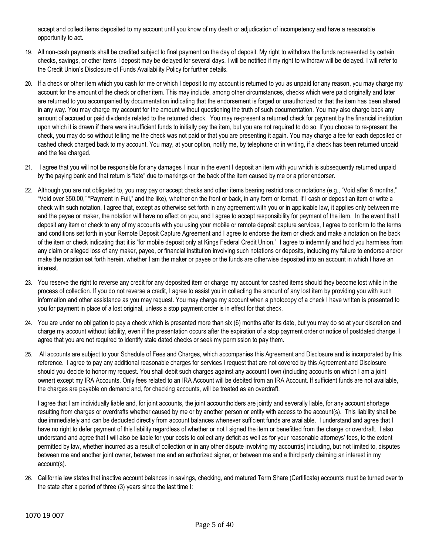accept and collect items deposited to my account until you know of my death or adjudication of incompetency and have a reasonable opportunity to act.

- 19. All non-cash payments shall be credited subject to final payment on the day of deposit. My right to withdraw the funds represented by certain checks, savings, or other items I deposit may be delayed for several days. I will be notified if my right to withdraw will be delayed. I will refer to the Credit Union's Disclosure of Funds Availability Policy for further details.
- 20. If a check or other item which you cash for me or which I deposit to my account is returned to you as unpaid for any reason, you may charge my account for the amount of the check or other item. This may include, among other circumstances, checks which were paid originally and later are returned to you accompanied by documentation indicating that the endorsement is forged or unauthorized or that the item has been altered in any way. You may charge my account for the amount without questioning the truth of such documentation. You may also charge back any amount of accrued or paid dividends related to the returned check. You may re-present a returned check for payment by the financial institution upon which it is drawn if there were insufficient funds to initially pay the item, but you are not required to do so. If you choose to re-present the check, you may do so without telling me the check was not paid or that you are presenting it again. You may charge a fee for each deposited or cashed check charged back to my account. You may, at your option, notify me, by telephone or in writing, if a check has been returned unpaid and the fee charged.
- 21. I agree that you will not be responsible for any damages I incur in the event I deposit an item with you which is subsequently returned unpaid by the paying bank and that return is "late" due to markings on the back of the item caused by me or a prior endorser.
- 22. Although you are not obligated to, you may pay or accept checks and other items bearing restrictions or notations (e.g., "Void after 6 months," "Void over \$50.00," "Payment in Full," and the like), whether on the front or back, in any form or format. If I cash or deposit an item or write a check with such notation, I agree that, except as otherwise set forth in any agreement with you or in applicable law, it applies only between me and the payee or maker, the notation will have no effect on you, and I agree to accept responsibility for payment of the item. In the event that I deposit any item or check to any of my accounts with you using your mobile or remote deposit capture services, I agree to conform to the terms and conditions set forth in your Remote Deposit Capture Agreement and I agree to endorse the item or check and make a notation on the back of the item or check indicating that it is "for mobile deposit only at Kings Federal Credit Union." I agree to indemnify and hold you harmless from any claim or alleged loss of any maker, payee, or financial institution involving such notations or deposits, including my failure to endorse and/or make the notation set forth herein, whether I am the maker or payee or the funds are otherwise deposited into an account in which I have an interest.
- 23. You reserve the right to reverse any credit for any deposited item or charge my account for cashed items should they become lost while in the process of collection. If you do not reverse a credit, I agree to assist you in collecting the amount of any lost item by providing you with such information and other assistance as you may request. You may charge my account when a photocopy of a check I have written is presented to you for payment in place of a lost original, unless a stop payment order is in effect for that check.
- 24. You are under no obligation to pay a check which is presented more than six (6) months after its date, but you may do so at your discretion and charge my account without liability, even if the presentation occurs after the expiration of a stop payment order or notice of postdated change. I agree that you are not required to identify stale dated checks or seek my permission to pay them.
- 25. All accounts are subject to your Schedule of Fees and Charges, which accompanies this Agreement and Disclosure and is incorporated by this reference. I agree to pay any additional reasonable charges for services I request that are not covered by this Agreement and Disclosure should you decide to honor my request. You shall debit such charges against any account I own (including accounts on which I am a joint owner) except my IRA Accounts. Only fees related to an IRA Account will be debited from an IRA Account. If sufficient funds are not available, the charges are payable on demand and, for checking accounts, will be treated as an overdraft.

I agree that I am individually liable and, for joint accounts, the joint accountholders are jointly and severally liable, for any account shortage resulting from charges or overdrafts whether caused by me or by another person or entity with access to the account(s). This liability shall be due immediately and can be deducted directly from account balances whenever sufficient funds are available. I understand and agree that I have no right to defer payment of this liability regardless of whether or not I signed the item or benefitted from the charge or overdraft. I also understand and agree that I will also be liable for your costs to collect any deficit as well as for your reasonable attorneys' fees, to the extent permitted by law, whether incurred as a result of collection or in any other dispute involving my account(s) including, but not limited to, disputes between me and another joint owner, between me and an authorized signer, or between me and a third party claiming an interest in my account(s).

26. California law states that inactive account balances in savings, checking, and matured Term Share (Certificate) accounts must be turned over to the state after a period of three (3) years since the last time I: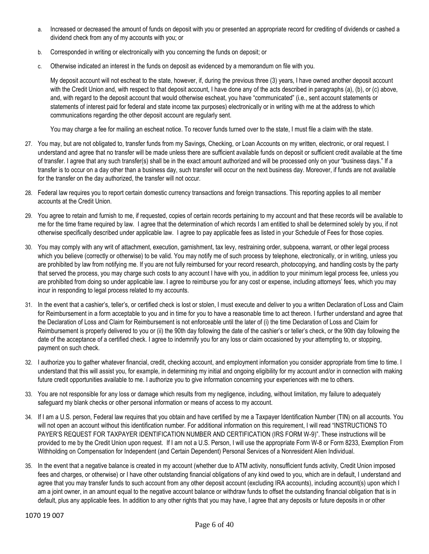- a. Increased or decreased the amount of funds on deposit with you or presented an appropriate record for crediting of dividends or cashed a dividend check from any of my accounts with you; or
- b. Corresponded in writing or electronically with you concerning the funds on deposit; or
- c. Otherwise indicated an interest in the funds on deposit as evidenced by a memorandum on file with you.

My deposit account will not escheat to the state, however, if, during the previous three (3) years, I have owned another deposit account with the Credit Union and, with respect to that deposit account, I have done any of the acts described in paragraphs (a), (b), or (c) above, and, with regard to the deposit account that would otherwise escheat, you have "communicated" (i.e., sent account statements or statements of interest paid for federal and state income tax purposes) electronically or in writing with me at the address to which communications regarding the other deposit account are regularly sent.

You may charge a fee for mailing an escheat notice. To recover funds turned over to the state, I must file a claim with the state.

- 27. You may, but are not obligated to, transfer funds from my Savings, Checking, or Loan Accounts on my written, electronic, or oral request. I understand and agree that no transfer will be made unless there are sufficient available funds on deposit or sufficient credit available at the time of transfer. I agree that any such transfer(s) shall be in the exact amount authorized and will be processed only on your "business days." If a transfer is to occur on a day other than a business day, such transfer will occur on the next business day. Moreover, if funds are not available for the transfer on the day authorized, the transfer will not occur.
- 28. Federal law requires you to report certain domestic currency transactions and foreign transactions. This reporting applies to all member accounts at the Credit Union.
- 29. You agree to retain and furnish to me, if requested, copies of certain records pertaining to my account and that these records will be available to me for the time frame required by law. I agree that the determination of which records I am entitled to shall be determined solely by you, if not otherwise specifically described under applicable law. I agree to pay applicable fees as listed in your Schedule of Fees for those copies.
- 30. You may comply with any writ of attachment, execution, garnishment, tax levy, restraining order, subpoena, warrant, or other legal process which you believe (correctly or otherwise) to be valid. You may notify me of such process by telephone, electronically, or in writing, unless you are prohibited by law from notifying me. If you are not fully reimbursed for your record research, photocopying, and handling costs by the party that served the process, you may charge such costs to any account I have with you, in addition to your minimum legal process fee, unless you are prohibited from doing so under applicable law. I agree to reimburse you for any cost or expense, including attorneys' fees, which you may incur in responding to legal process related to my accounts.
- 31. In the event that a cashier's, teller's, or certified check is lost or stolen, I must execute and deliver to you a written Declaration of Loss and Claim for Reimbursement in a form acceptable to you and in time for you to have a reasonable time to act thereon. I further understand and agree that the Declaration of Loss and Claim for Reimbursement is not enforceable until the later of (i) the time Declaration of Loss and Claim for Reimbursement is properly delivered to you or (ii) the 90th day following the date of the cashier's or teller's check, or the 90th day following the date of the acceptance of a certified check. I agree to indemnify you for any loss or claim occasioned by your attempting to, or stopping, payment on such check.
- 32. I authorize you to gather whatever financial, credit, checking account, and employment information you consider appropriate from time to time. I understand that this will assist you, for example, in determining my initial and ongoing eligibility for my account and/or in connection with making future credit opportunities available to me. I authorize you to give information concerning your experiences with me to others.
- 33. You are not responsible for any loss or damage which results from my negligence, including, without limitation, my failure to adequately safeguard my blank checks or other personal information or means of access to my account.
- 34. If I am a U.S. person, Federal law requires that you obtain and have certified by me a Taxpayer Identification Number (TIN) on all accounts. You will not open an account without this identification number. For additional information on this requirement, I will read "INSTRUCTIONS TO PAYER'S REQUEST FOR TAXPAYER IDENTIFICATION NUMBER AND CERTIFICATION (IRS FORM W-9)". These instructions will be provided to me by the Credit Union upon request. If I am not a U.S. Person, I will use the appropriate Form W-8 or Form 8233, Exemption From Withholding on Compensation for Independent (and Certain Dependent) Personal Services of a Nonresident Alien Individual.
- 35. In the event that a negative balance is created in my account (whether due to ATM activity, nonsufficient funds activity, Credit Union imposed fees and charges, or otherwise) or I have other outstanding financial obligations of any kind owed to you, which are in default, I understand and agree that you may transfer funds to such account from any other deposit account (excluding IRA accounts), including account(s) upon which I am a joint owner, in an amount equal to the negative account balance or withdraw funds to offset the outstanding financial obligation that is in default, plus any applicable fees. In addition to any other rights that you may have, I agree that any deposits or future deposits in or other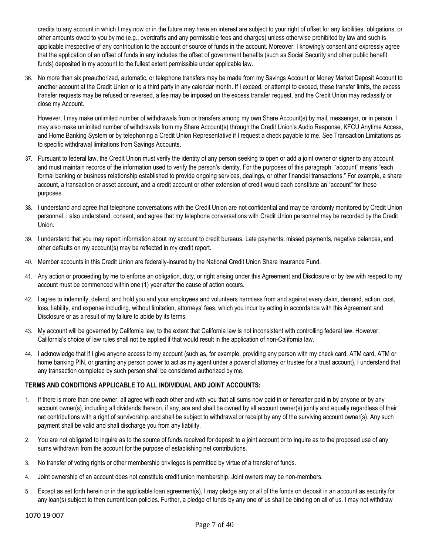credits to any account in which I may now or in the future may have an interest are subject to your right of offset for any liabilities, obligations, or other amounts owed to you by me (e.g., overdrafts and any permissible fees and charges) unless otherwise prohibited by law and such is applicable irrespective of any contribution to the account or source of funds in the account. Moreover, I knowingly consent and expressly agree that the application of an offset of funds in any includes the offset of government benefits (such as Social Security and other public benefit funds) deposited in my account to the fullest extent permissible under applicable law.

36. No more than six preauthorized, automatic, or telephone transfers may be made from my Savings Account or Money Market Deposit Account to another account at the Credit Union or to a third party in any calendar month. If I exceed, or attempt to exceed, these transfer limits, the excess transfer requests may be refused or reversed, a fee may be imposed on the excess transfer request, and the Credit Union may reclassify or close my Account.

However, I may make unlimited number of withdrawals from or transfers among my own Share Account(s) by mail, messenger, or in person. I may also make unlimited number of withdrawals from my Share Account(s) through the Credit Union's Audio Response, KFCU Anytime Access, and Home Banking System or by telephoning a Credit Union Representative if I request a check payable to me. See Transaction Limitations as to specific withdrawal limitations from Savings Accounts.

- 37. Pursuant to federal law, the Credit Union must verify the identity of any person seeking to open or add a joint owner or signer to any account and must maintain records of the information used to verify the person's identity. For the purposes of this paragraph, "account" means "each formal banking or business relationship established to provide ongoing services, dealings, or other financial transactions." For example, a share account, a transaction or asset account, and a credit account or other extension of credit would each constitute an "account" for these purposes.
- 38. I understand and agree that telephone conversations with the Credit Union are not confidential and may be randomly monitored by Credit Union personnel. I also understand, consent, and agree that my telephone conversations with Credit Union personnel may be recorded by the Credit Union.
- 39. I understand that you may report information about my account to credit bureaus. Late payments, missed payments, negative balances, and other defaults on my account(s) may be reflected in my credit report.
- 40. Member accounts in this Credit Union are federally-insured by the National Credit Union Share Insurance Fund.
- 41. Any action or proceeding by me to enforce an obligation, duty, or right arising under this Agreement and Disclosure or by law with respect to my account must be commenced within one (1) year after the cause of action occurs.
- 42. I agree to indemnify, defend, and hold you and your employees and volunteers harmless from and against every claim, demand, action, cost, loss, liability, and expense including, without limitation, attorneys' fees, which you incur by acting in accordance with this Agreement and Disclosure or as a result of my failure to abide by its terms.
- 43. My account will be governed by California law, to the extent that California law is not inconsistent with controlling federal law. However, California's choice of law rules shall not be applied if that would result in the application of non-California law.
- 44. I acknowledge that if I give anyone access to my account (such as, for example, providing any person with my check card, ATM card, ATM or home banking PIN, or granting any person power to act as my agent under a power of attorney or trustee for a trust account), I understand that any transaction completed by such person shall be considered authorized by me.

## **TERMS AND CONDITIONS APPLICABLE TO ALL INDIVIDUAL AND JOINT ACCOUNTS:**

- 1. If there is more than one owner, all agree with each other and with you that all sums now paid in or hereafter paid in by anyone or by any account owner(s), including all dividends thereon, if any, are and shall be owned by all account owner(s) jointly and equally regardless of their net contributions with a right of survivorship, and shall be subject to withdrawal or receipt by any of the surviving account owner(s). Any such payment shall be valid and shall discharge you from any liability.
- 2. You are not obligated to inquire as to the source of funds received for deposit to a joint account or to inquire as to the proposed use of any sums withdrawn from the account for the purpose of establishing net contributions.
- 3. No transfer of voting rights or other membership privileges is permitted by virtue of a transfer of funds.
- 4. Joint ownership of an account does not constitute credit union membership. Joint owners may be non-members.
- 5. Except as set forth herein or in the applicable loan agreement(s), I may pledge any or all of the funds on deposit in an account as security for any loan(s) subject to then current loan policies. Further, a pledge of funds by any one of us shall be binding on all of us. I may not withdraw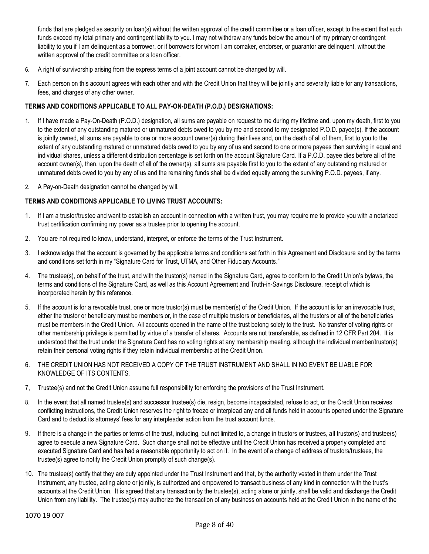funds that are pledged as security on loan(s) without the written approval of the credit committee or a loan officer, except to the extent that such funds exceed my total primary and contingent liability to you. I may not withdraw any funds below the amount of my primary or contingent liability to you if I am delinquent as a borrower, or if borrowers for whom I am comaker, endorser, or guarantor are delinquent, without the written approval of the credit committee or a loan officer.

- 6. A right of survivorship arising from the express terms of a joint account cannot be changed by will.
- 7. Each person on this account agrees with each other and with the Credit Union that they will be jointly and severally liable for any transactions, fees, and charges of any other owner.

### **TERMS AND CONDITIONS APPLICABLE TO ALL PAY-ON-DEATH (P.O.D.) DESIGNATIONS:**

- 1. If I have made a Pay-On-Death (P.O.D.) designation, all sums are payable on request to me during my lifetime and, upon my death, first to you to the extent of any outstanding matured or unmatured debts owed to you by me and second to my designated P.O.D. payee(s). If the account is jointly owned, all sums are payable to one or more account owner(s) during their lives and, on the death of all of them, first to you to the extent of any outstanding matured or unmatured debts owed to you by any of us and second to one or more payees then surviving in equal and individual shares, unless a different distribution percentage is set forth on the account Signature Card. If a P.O.D. payee dies before all of the account owner(s), then, upon the death of all of the owner(s), all sums are payable first to you to the extent of any outstanding matured or unmatured debts owed to you by any of us and the remaining funds shall be divided equally among the surviving P.O.D. payees, if any.
- 2. A Pay-on-Death designation cannot be changed by will.

### **TERMS AND CONDITIONS APPLICABLE TO LIVING TRUST ACCOUNTS:**

- 1. If I am a trustor/trustee and want to establish an account in connection with a written trust, you may require me to provide you with a notarized trust certification confirming my power as a trustee prior to opening the account.
- 2. You are not required to know, understand, interpret, or enforce the terms of the Trust Instrument.
- 3. I acknowledge that the account is governed by the applicable terms and conditions set forth in this Agreement and Disclosure and by the terms and conditions set forth in my "Signature Card for Trust, UTMA, and Other Fiduciary Accounts."
- 4. The trustee(s), on behalf of the trust, and with the trustor(s) named in the Signature Card, agree to conform to the Credit Union's bylaws, the terms and conditions of the Signature Card, as well as this Account Agreement and Truth-in-Savings Disclosure, receipt of which is incorporated herein by this reference.
- 5. If the account is for a revocable trust, one or more trustor(s) must be member(s) of the Credit Union. If the account is for an irrevocable trust, either the trustor or beneficiary must be members or, in the case of multiple trustors or beneficiaries, all the trustors or all of the beneficiaries must be members in the Credit Union. All accounts opened in the name of the trust belong solely to the trust. No transfer of voting rights or other membership privilege is permitted by virtue of a transfer of shares. Accounts are not transferable, as defined in 12 CFR Part 204. It is understood that the trust under the Signature Card has no voting rights at any membership meeting, although the individual member/trustor(s) retain their personal voting rights if they retain individual membership at the Credit Union.
- 6. THE CREDIT UNION HAS NOT RECEIVED A COPY OF THE TRUST INSTRUMENT AND SHALL IN NO EVENT BE LIABLE FOR KNOWLEDGE OF ITS CONTENTS.
- 7, Trustee(s) and not the Credit Union assume full responsibility for enforcing the provisions of the Trust Instrument.
- 8. In the event that all named trustee(s) and successor trustee(s) die, resign, become incapacitated, refuse to act, or the Credit Union receives conflicting instructions, the Credit Union reserves the right to freeze or interplead any and all funds held in accounts opened under the Signature Card and to deduct its attorneys' fees for any interpleader action from the trust account funds.
- 9. If there is a change in the parties or terms of the trust, including, but not limited to, a change in trustors or trustees, all trustor(s) and trustee(s) agree to execute a new Signature Card. Such change shall not be effective until the Credit Union has received a properly completed and executed Signature Card and has had a reasonable opportunity to act on it. In the event of a change of address of trustors/trustees, the trustee(s) agree to notify the Credit Union promptly of such change(s).
- 10. The trustee(s) certify that they are duly appointed under the Trust Instrument and that, by the authority vested in them under the Trust Instrument, any trustee, acting alone or jointly, is authorized and empowered to transact business of any kind in connection with the trust's accounts at the Credit Union. It is agreed that any transaction by the trustee(s), acting alone or jointly, shall be valid and discharge the Credit Union from any liability. The trustee(s) may authorize the transaction of any business on accounts held at the Credit Union in the name of the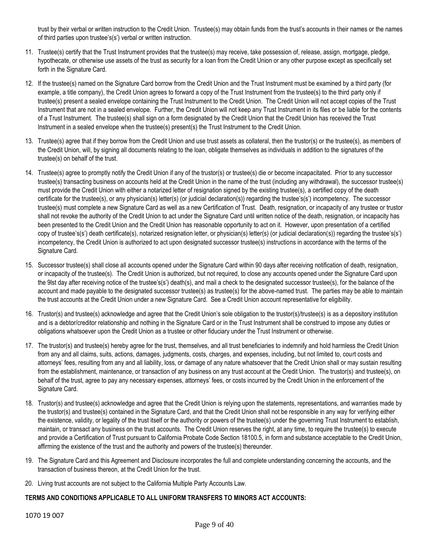trust by their verbal or written instruction to the Credit Union. Trustee(s) may obtain funds from the trust's accounts in their names or the names of third parties upon trustee's(s') verbal or written instruction.

- 11. Trustee(s) certify that the Trust Instrument provides that the trustee(s) may receive, take possession of, release, assign, mortgage, pledge, hypothecate, or otherwise use assets of the trust as security for a loan from the Credit Union or any other purpose except as specifically set forth in the Signature Card.
- 12. If the trustee(s) named on the Signature Card borrow from the Credit Union and the Trust Instrument must be examined by a third party (for example, a title company), the Credit Union agrees to forward a copy of the Trust Instrument from the trustee(s) to the third party only if trustee(s) present a sealed envelope containing the Trust Instrument to the Credit Union. The Credit Union will not accept copies of the Trust Instrument that are not in a sealed envelope. Further, the Credit Union will not keep any Trust Instrument in its files or be liable for the contents of a Trust Instrument. The trustee(s) shall sign on a form designated by the Credit Union that the Credit Union has received the Trust Instrument in a sealed envelope when the trustee(s) present(s) the Trust Instrument to the Credit Union.
- 13. Trustee(s) agree that if they borrow from the Credit Union and use trust assets as collateral, then the trustor(s) or the trustee(s), as members of the Credit Union, will, by signing all documents relating to the loan, obligate themselves as individuals in addition to the signatures of the trustee(s) on behalf of the trust.
- 14. Trustee(s) agree to promptly notify the Credit Union if any of the trustor(s) or trustee(s) die or become incapacitated. Prior to any successor trustee(s) transacting business on accounts held at the Credit Union in the name of the trust (including any withdrawal), the successor trustee(s) must provide the Credit Union with either a notarized letter of resignation signed by the existing trustee(s), a certified copy of the death certificate for the trustee(s), or any physician(s) letter(s) (or judicial declaration(s)) regarding the trustee's(s') incompetency. The successor trustee(s) must complete a new Signature Card as well as a new Certification of Trust. Death, resignation, or incapacity of any trustee or trustor shall not revoke the authority of the Credit Union to act under the Signature Card until written notice of the death, resignation, or incapacity has been presented to the Credit Union and the Credit Union has reasonable opportunity to act on it. However, upon presentation of a certified copy of trustee's(s') death certificate(s), notarized resignation letter, or physician(s) letter(s) (or judicial declaration(s)) regarding the trustee's(s') incompetency, the Credit Union is authorized to act upon designated successor trustee(s) instructions in accordance with the terms of the Signature Card.
- 15. Successor trustee(s) shall close all accounts opened under the Signature Card within 90 days after receiving notification of death, resignation, or incapacity of the trustee(s). The Credit Union is authorized, but not required, to close any accounts opened under the Signature Card upon the 9lst day after receiving notice of the trustee's(s') death(s), and mail a check to the designated successor trustee(s), for the balance of the account and made payable to the designated successor trustee(s) as trustee(s) for the above-named trust. The parties may be able to maintain the trust accounts at the Credit Union under a new Signature Card. See a Credit Union account representative for eligibility.
- 16. Trustor(s) and trustee(s) acknowledge and agree that the Credit Union's sole obligation to the trustor(s)/trustee(s) is as a depository institution and is a debtor/creditor relationship and nothing in the Signature Card or in the Trust Instrument shall be construed to impose any duties or obligations whatsoever upon the Credit Union as a trustee or other fiduciary under the Trust Instrument or otherwise.
- 17. The trustor(s) and trustee(s) hereby agree for the trust, themselves, and all trust beneficiaries to indemnify and hold harmless the Credit Union from any and all claims, suits, actions, damages, judgments, costs, charges, and expenses, including, but not limited to, court costs and attorneys' fees, resulting from any and all liability, loss, or damage of any nature whatsoever that the Credit Union shall or may sustain resulting from the establishment, maintenance, or transaction of any business on any trust account at the Credit Union. The trustor(s) and trustee(s), on behalf of the trust, agree to pay any necessary expenses, attorneys' fees, or costs incurred by the Credit Union in the enforcement of the Signature Card.
- 18. Trustor(s) and trustee(s) acknowledge and agree that the Credit Union is relying upon the statements, representations, and warranties made by the trustor(s) and trustee(s) contained in the Signature Card, and that the Credit Union shall not be responsible in any way for verifying either the existence, validity, or legality of the trust itself or the authority or powers of the trustee(s) under the governing Trust Instrument to establish, maintain, or transact any business on the trust accounts. The Credit Union reserves the right, at any time, to require the trustee(s) to execute and provide a Certification of Trust pursuant to California Probate Code Section 18100.5, in form and substance acceptable to the Credit Union, affirming the existence of the trust and the authority and powers of the trustee(s) thereunder.
- 19. The Signature Card and this Agreement and Disclosure incorporates the full and complete understanding concerning the accounts, and the transaction of business thereon, at the Credit Union for the trust.
- 20. Living trust accounts are not subject to the California Multiple Party Accounts Law.

## **TERMS AND CONDITIONS APPLICABLE TO ALL UNIFORM TRANSFERS TO MINORS ACT ACCOUNTS:**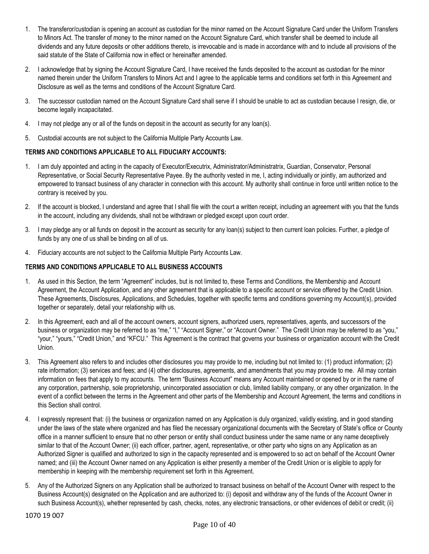- 1. The transferor/custodian is opening an account as custodian for the minor named on the Account Signature Card under the Uniform Transfers to Minors Act. The transfer of money to the minor named on the Account Signature Card, which transfer shall be deemed to include all dividends and any future deposits or other additions thereto, is irrevocable and is made in accordance with and to include all provisions of the said statute of the State of California now in effect or hereinafter amended.
- 2. I acknowledge that by signing the Account Signature Card, I have received the funds deposited to the account as custodian for the minor named therein under the Uniform Transfers to Minors Act and I agree to the applicable terms and conditions set forth in this Agreement and Disclosure as well as the terms and conditions of the Account Signature Card.
- 3. The successor custodian named on the Account Signature Card shall serve if I should be unable to act as custodian because I resign, die, or become legally incapacitated.
- 4. I may not pledge any or all of the funds on deposit in the account as security for any loan(s).
- 5. Custodial accounts are not subject to the California Multiple Party Accounts Law.

## **TERMS AND CONDITIONS APPLICABLE TO ALL FIDUCIARY ACCOUNTS:**

- 1. I am duly appointed and acting in the capacity of Executor/Executrix, Administrator/Administratrix, Guardian, Conservator, Personal Representative, or Social Security Representative Payee. By the authority vested in me, I, acting individually or jointly, am authorized and empowered to transact business of any character in connection with this account. My authority shall continue in force until written notice to the contrary is received by you.
- 2. If the account is blocked, I understand and agree that I shall file with the court a written receipt, including an agreement with you that the funds in the account, including any dividends, shall not be withdrawn or pledged except upon court order.
- 3. I may pledge any or all funds on deposit in the account as security for any loan(s) subject to then current loan policies. Further, a pledge of funds by any one of us shall be binding on all of us.
- 4. Fiduciary accounts are not subject to the California Multiple Party Accounts Law.

## **TERMS AND CONDITIONS APPLICABLE TO ALL BUSINESS ACCOUNTS**

- 1. As used in this Section, the term "Agreement" includes, but is not limited to, these Terms and Conditions, the Membership and Account Agreement, the Account Application, and any other agreement that is applicable to a specific account or service offered by the Credit Union. These Agreements, Disclosures, Applications, and Schedules, together with specific terms and conditions governing my Account(s), provided together or separately, detail your relationship with us.
- 2. In this Agreement, each and all of the account owners, account signers, authorized users, representatives, agents, and successors of the business or organization may be referred to as "me," "I," "Account Signer," or "Account Owner." The Credit Union may be referred to as "you," "your," "yours," "Credit Union," and "KFCU." This Agreement is the contract that governs your business or organization account with the Credit Union.
- 3. This Agreement also refers to and includes other disclosures you may provide to me, including but not limited to: (1) product information; (2) rate information; (3) services and fees; and (4) other disclosures, agreements, and amendments that you may provide to me. All may contain information on fees that apply to my accounts. The term "Business Account" means any Account maintained or opened by or in the name of any corporation, partnership, sole proprietorship, unincorporated association or club, limited liability company, or any other organization. In the event of a conflict between the terms in the Agreement and other parts of the Membership and Account Agreement, the terms and conditions in this Section shall control.
- 4. I expressly represent that: (i) the business or organization named on any Application is duly organized, validly existing, and in good standing under the laws of the state where organized and has filed the necessary organizational documents with the Secretary of State's office or County office in a manner sufficient to ensure that no other person or entity shall conduct business under the same name or any name deceptively similar to that of the Account Owner; (ii) each officer, partner, agent, representative, or other party who signs on any Application as an Authorized Signer is qualified and authorized to sign in the capacity represented and is empowered to so act on behalf of the Account Owner named; and (iii) the Account Owner named on any Application is either presently a member of the Credit Union or is eligible to apply for membership in keeping with the membership requirement set forth in this Agreement.
- 5. Any of the Authorized Signers on any Application shall be authorized to transact business on behalf of the Account Owner with respect to the Business Account(s) designated on the Application and are authorized to: (i) deposit and withdraw any of the funds of the Account Owner in such Business Account(s), whether represented by cash, checks, notes, any electronic transactions, or other evidences of debit or credit; (ii)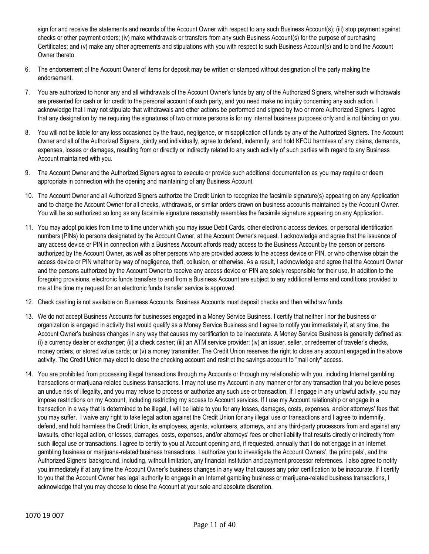sign for and receive the statements and records of the Account Owner with respect to any such Business Account(s); (iii) stop payment against checks or other payment orders; (iv) make withdrawals or transfers from any such Business Account(s) for the purpose of purchasing Certificates; and (v) make any other agreements and stipulations with you with respect to such Business Account(s) and to bind the Account Owner thereto.

- 6. The endorsement of the Account Owner of items for deposit may be written or stamped without designation of the party making the endorsement.
- 7. You are authorized to honor any and all withdrawals of the Account Owner's funds by any of the Authorized Signers, whether such withdrawals are presented for cash or for credit to the personal account of such party, and you need make no inquiry concerning any such action. I acknowledge that I may not stipulate that withdrawals and other actions be performed and signed by two or more Authorized Signers. I agree that any designation by me requiring the signatures of two or more persons is for my internal business purposes only and is not binding on you.
- 8. You will not be liable for any loss occasioned by the fraud, negligence, or misapplication of funds by any of the Authorized Signers. The Account Owner and all of the Authorized Signers, jointly and individually, agree to defend, indemnify, and hold KFCU harmless of any claims, demands, expenses, losses or damages, resulting from or directly or indirectly related to any such activity of such parties with regard to any Business Account maintained with you.
- 9. The Account Owner and the Authorized Signers agree to execute or provide such additional documentation as you may require or deem appropriate in connection with the opening and maintaining of any Business Account.
- 10. The Account Owner and all Authorized Signers authorize the Credit Union to recognize the facsimile signature(s) appearing on any Application and to charge the Account Owner for all checks, withdrawals, or similar orders drawn on business accounts maintained by the Account Owner. You will be so authorized so long as any facsimile signature reasonably resembles the facsimile signature appearing on any Application.
- 11. You may adopt policies from time to time under which you may issue Debit Cards, other electronic access devices, or personal identification numbers (PINs) to persons designated by the Account Owner, at the Account Owner's request. I acknowledge and agree that the issuance of any access device or PIN in connection with a Business Account affords ready access to the Business Account by the person or persons authorized by the Account Owner, as well as other persons who are provided access to the access device or PIN, or who otherwise obtain the access device or PIN whether by way of negligence, theft, collusion, or otherwise. As a result, I acknowledge and agree that the Account Owner and the persons authorized by the Account Owner to receive any access device or PIN are solely responsible for their use. In addition to the foregoing provisions, electronic funds transfers to and from a Business Account are subject to any additional terms and conditions provided to me at the time my request for an electronic funds transfer service is approved.
- 12. Check cashing is not available on Business Accounts. Business Accounts must deposit checks and then withdraw funds.
- 13. We do not accept Business Accounts for businesses engaged in a Money Service Business. I certify that neither I nor the business or organization is engaged in activity that would qualify as a Money Service Business and I agree to notify you immediately if, at any time, the Account Owner's business changes in any way that causes my certification to be inaccurate. A Money Service Business is generally defined as: (i) a currency dealer or exchanger; (ii) a check casher; (iii) an ATM service provider; (iv) an issuer, seller, or redeemer of traveler's checks, money orders, or stored value cards; or (v) a money transmitter. The Credit Union reserves the right to close any account engaged in the above activity. The Credit Union may elect to close the checking account and restrict the savings account to "mail only" access.
- 14. You are prohibited from processing illegal transactions through my Accounts or through my relationship with you, including Internet gambling transactions or marijuana-related business transactions. I may not use my Account in any manner or for any transaction that you believe poses an undue risk of illegality, and you may refuse to process or authorize any such use or transaction. If I engage in any unlawful activity, you may impose restrictions on my Account, including restricting my access to Account services. If I use my Account relationship or engage in a transaction in a way that is determined to be illegal, I will be liable to you for any losses, damages, costs, expenses, and/or attorneys' fees that you may suffer. I waive any right to take legal action against the Credit Union for any illegal use or transactions and I agree to indemnify, defend, and hold harmless the Credit Union, its employees, agents, volunteers, attorneys, and any third-party processors from and against any lawsuits, other legal action, or losses, damages, costs, expenses, and/or attorneys' fees or other liability that results directly or indirectly from such illegal use or transactions. I agree to certify to you at Account opening and, if requested, annually that I do not engage in an Internet gambling business or marijuana-related business transactions. I authorize you to investigate the Account Owners', the principals', and the Authorized Signers' background, including, without limitation, any financial institution and payment processor references. I also agree to notify you immediately if at any time the Account Owner's business changes in any way that causes any prior certification to be inaccurate. If I certify to you that the Account Owner has legal authority to engage in an Internet gambling business or marijuana-related business transactions, I acknowledge that you may choose to close the Account at your sole and absolute discretion.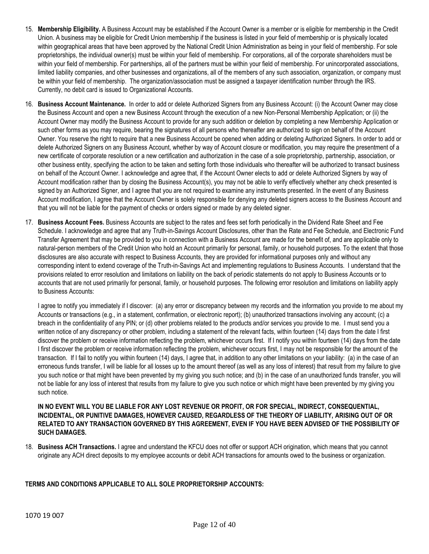- 15. **Membership Eligibility.** A Business Account may be established if the Account Owner is a member or is eligible for membership in the Credit Union. A business may be eligible for Credit Union membership if the business is listed in your field of membership or is physically located within geographical areas that have been approved by the National Credit Union Administration as being in your field of membership. For sole proprietorships, the individual owner(s) must be within your field of membership. For corporations, all of the corporate shareholders must be within your field of membership. For partnerships, all of the partners must be within your field of membership. For unincorporated associations, limited liability companies, and other businesses and organizations, all of the members of any such association, organization, or company must be within your field of membership. The organization/association must be assigned a taxpayer identification number through the IRS. Currently, no debit card is issued to Organizational Accounts.
- 16. **Business Account Maintenance.** In order to add or delete Authorized Signers from any Business Account: (i) the Account Owner may close the Business Account and open a new Business Account through the execution of a new Non-Personal Membership Application; or (ii) the Account Owner may modify the Business Account to provide for any such addition or deletion by completing a new Membership Application or such other forms as you may require, bearing the signatures of all persons who thereafter are authorized to sign on behalf of the Account Owner. You reserve the right to require that a new Business Account be opened when adding or deleting Authorized Signers. In order to add or delete Authorized Signers on any Business Account, whether by way of Account closure or modification, you may require the presentment of a new certificate of corporate resolution or a new certification and authorization in the case of a sole proprietorship, partnership, association, or other business entity, specifying the action to be taken and setting forth those individuals who thereafter will be authorized to transact business on behalf of the Account Owner. I acknowledge and agree that, if the Account Owner elects to add or delete Authorized Signers by way of Account modification rather than by closing the Business Account(s), you may not be able to verify effectively whether any check presented is signed by an Authorized Signer, and I agree that you are not required to examine any instruments presented. In the event of any Business Account modification, I agree that the Account Owner is solely responsible for denying any deleted signers access to the Business Account and that you will not be liable for the payment of checks or orders signed or made by any deleted signer.
- 17. **Business Account Fees.** Business Accounts are subject to the rates and fees set forth periodically in the Dividend Rate Sheet and Fee Schedule. I acknowledge and agree that any Truth-in-Savings Account Disclosures, other than the Rate and Fee Schedule, and Electronic Fund Transfer Agreement that may be provided to you in connection with a Business Account are made for the benefit of, and are applicable only to natural-person members of the Credit Union who hold an Account primarily for personal, family, or household purposes. To the extent that those disclosures are also accurate with respect to Business Accounts, they are provided for informational purposes only and without any corresponding intent to extend coverage of the Truth-in-Savings Act and implementing regulations to Business Accounts. I understand that the provisions related to error resolution and limitations on liability on the back of periodic statements do not apply to Business Accounts or to accounts that are not used primarily for personal, family, or household purposes. The following error resolution and limitations on liability apply to Business Accounts:

I agree to notify you immediately if I discover: (a) any error or discrepancy between my records and the information you provide to me about my Accounts or transactions (e.g., in a statement, confirmation, or electronic report); (b) unauthorized transactions involving any account; (c) a breach in the confidentiality of any PIN; or (d) other problems related to the products and/or services you provide to me. I must send you a written notice of any discrepancy or other problem, including a statement of the relevant facts, within fourteen (14) days from the date I first discover the problem or receive information reflecting the problem, whichever occurs first. If I notify you within fourteen (14) days from the date I first discover the problem or receive information reflecting the problem, whichever occurs first, I may not be responsible for the amount of the transaction. If I fail to notify you within fourteen (14) days, I agree that, in addition to any other limitations on your liability: (a) in the case of an erroneous funds transfer, I will be liable for all losses up to the amount thereof (as well as any loss of interest) that result from my failure to give you such notice or that might have been prevented by my giving you such notice; and (b) in the case of an unauthorized funds transfer, you will not be liable for any loss of interest that results from my failure to give you such notice or which might have been prevented by my giving you such notice.

### **IN NO EVENT WILL YOU BE LIABLE FOR ANY LOST REVENUE OR PROFIT, OR FOR SPECIAL, INDIRECT, CONSEQUENTIAL, INCIDENTAL, OR PUNITIVE DAMAGES, HOWEVER CAUSED, REGARDLESS OF THE THEORY OF LIABILITY, ARISING OUT OF OR RELATED TO ANY TRANSACTION GOVERNED BY THIS AGREEMENT, EVEN IF YOU HAVE BEEN ADVISED OF THE POSSIBILITY OF SUCH DAMAGES.**

18. **Business ACH Transactions.** I agree and understand the KFCU does not offer or support ACH origination, which means that you cannot originate any ACH direct deposits to my employee accounts or debit ACH transactions for amounts owed to the business or organization.

## **TERMS AND CONDITIONS APPLICABLE TO ALL SOLE PROPRIETORSHIP ACCOUNTS:**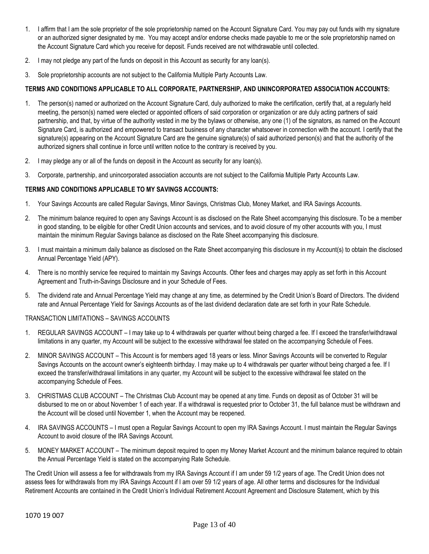- 1. I affirm that I am the sole proprietor of the sole proprietorship named on the Account Signature Card. You may pay out funds with my signature or an authorized signer designated by me. You may accept and/or endorse checks made payable to me or the sole proprietorship named on the Account Signature Card which you receive for deposit. Funds received are not withdrawable until collected.
- 2. I may not pledge any part of the funds on deposit in this Account as security for any loan(s).
- 3. Sole proprietorship accounts are not subject to the California Multiple Party Accounts Law.

## **TERMS AND CONDITIONS APPLICABLE TO ALL CORPORATE, PARTNERSHIP, AND UNINCORPORATED ASSOCIATION ACCOUNTS:**

- 1. The person(s) named or authorized on the Account Signature Card, duly authorized to make the certification, certify that, at a regularly held meeting, the person(s) named were elected or appointed officers of said corporation or organization or are duly acting partners of said partnership, and that, by virtue of the authority vested in me by the bylaws or otherwise, any one (1) of the signators, as named on the Account Signature Card, is authorized and empowered to transact business of any character whatsoever in connection with the account. I certify that the signature(s) appearing on the Account Signature Card are the genuine signature(s) of said authorized person(s) and that the authority of the authorized signers shall continue in force until written notice to the contrary is received by you.
- 2. I may pledge any or all of the funds on deposit in the Account as security for any loan(s).
- 3. Corporate, partnership, and unincorporated association accounts are not subject to the California Multiple Party Accounts Law.

### **TERMS AND CONDITIONS APPLICABLE TO MY SAVINGS ACCOUNTS:**

- 1. Your Savings Accounts are called Regular Savings, Minor Savings, Christmas Club, Money Market, and IRA Savings Accounts.
- 2. The minimum balance required to open any Savings Account is as disclosed on the Rate Sheet accompanying this disclosure. To be a member in good standing, to be eligible for other Credit Union accounts and services, and to avoid closure of my other accounts with you, I must maintain the minimum Regular Savings balance as disclosed on the Rate Sheet accompanying this disclosure.
- 3. I must maintain a minimum daily balance as disclosed on the Rate Sheet accompanying this disclosure in my Account(s) to obtain the disclosed Annual Percentage Yield (APY).
- 4. There is no monthly service fee required to maintain my Savings Accounts. Other fees and charges may apply as set forth in this Account Agreement and Truth-in-Savings Disclosure and in your Schedule of Fees.
- 5. The dividend rate and Annual Percentage Yield may change at any time, as determined by the Credit Union's Board of Directors. The dividend rate and Annual Percentage Yield for Savings Accounts as of the last dividend declaration date are set forth in your Rate Schedule.

#### TRANSACTION LIMITATIONS – SAVINGS ACCOUNTS

- 1. REGULAR SAVINGS ACCOUNT I may take up to 4 withdrawals per quarter without being charged a fee. If I exceed the transfer/withdrawal limitations in any quarter, my Account will be subject to the excessive withdrawal fee stated on the accompanying Schedule of Fees.
- 2. MINOR SAVINGS ACCOUNT This Account is for members aged 18 years or less. Minor Savings Accounts will be converted to Regular Savings Accounts on the account owner's eighteenth birthday. I may make up to 4 withdrawals per quarter without being charged a fee. If I exceed the transfer/withdrawal limitations in any quarter, my Account will be subject to the excessive withdrawal fee stated on the accompanying Schedule of Fees.
- 3. CHRISTMAS CLUB ACCOUNT The Christmas Club Account may be opened at any time. Funds on deposit as of October 31 will be disbursed to me on or about November 1 of each year. If a withdrawal is requested prior to October 31, the full balance must be withdrawn and the Account will be closed until November 1, when the Account may be reopened.
- 4. IRA SAVINGS ACCOUNTS I must open a Regular Savings Account to open my IRA Savings Account. I must maintain the Regular Savings Account to avoid closure of the IRA Savings Account.
- 5. MONEY MARKET ACCOUNT The minimum deposit required to open my Money Market Account and the minimum balance required to obtain the Annual Percentage Yield is stated on the accompanying Rate Schedule.

The Credit Union will assess a fee for withdrawals from my IRA Savings Account if I am under 59 1/2 years of age. The Credit Union does not assess fees for withdrawals from my IRA Savings Account if I am over 59 1/2 years of age. All other terms and disclosures for the Individual Retirement Accounts are contained in the Credit Union's Individual Retirement Account Agreement and Disclosure Statement, which by this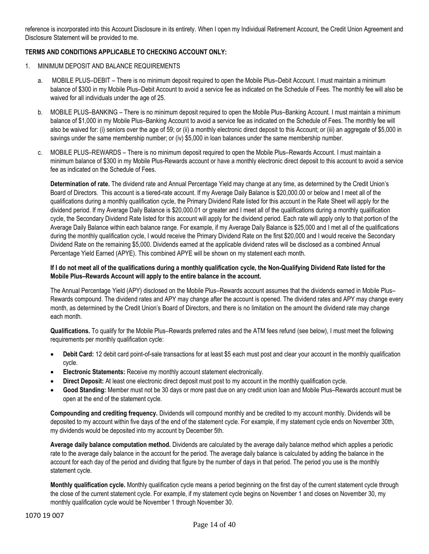reference is incorporated into this Account Disclosure in its entirety. When I open my Individual Retirement Account, the Credit Union Agreement and Disclosure Statement will be provided to me.

## **TERMS AND CONDITIONS APPLICABLE TO CHECKING ACCOUNT ONLY:**

- 1. MINIMUM DEPOSIT AND BALANCE REQUIREMENTS
	- a. MOBILE PLUS–DEBIT There is no minimum deposit required to open the Mobile Plus–Debit Account. I must maintain a minimum balance of \$300 in my Mobile Plus–Debit Account to avoid a service fee as indicated on the Schedule of Fees. The monthly fee will also be waived for all individuals under the age of 25.
	- b. MOBILE PLUS–BANKING There is no minimum deposit required to open the Mobile Plus–Banking Account. I must maintain a minimum balance of \$1,000 in my Mobile Plus–Banking Account to avoid a service fee as indicated on the Schedule of Fees. The monthly fee will also be waived for: (i) seniors over the age of 59; or (ii) a monthly electronic direct deposit to this Account; or (iii) an aggregate of \$5,000 in savings under the same membership number; or (iv) \$5,000 in loan balances under the same membership number.
	- c. MOBILE PLUS–REWARDS There is no minimum deposit required to open the Mobile Plus–Rewards Account. I must maintain a minimum balance of \$300 in my Mobile Plus-Rewards account or have a monthly electronic direct deposit to this account to avoid a service fee as indicated on the Schedule of Fees.

**Determination of rate.** The dividend rate and Annual Percentage Yield may change at any time, as determined by the Credit Union's Board of Directors. This account is a tiered-rate account. If my Average Daily Balance is \$20,000.00 or below and I meet all of the qualifications during a monthly qualification cycle, the Primary Dividend Rate listed for this account in the Rate Sheet will apply for the dividend period. If my Average Daily Balance is \$20,000.01 or greater and I meet all of the qualifications during a monthly qualification cycle, the Secondary Dividend Rate listed for this account will apply for the dividend period. Each rate will apply only to that portion of the Average Daily Balance within each balance range. For example, if my Average Daily Balance is \$25,000 and I met all of the qualifications during the monthly qualification cycle, I would receive the Primary Dividend Rate on the first \$20,000 and I would receive the Secondary Dividend Rate on the remaining \$5,000. Dividends earned at the applicable dividend rates will be disclosed as a combined Annual Percentage Yield Earned (APYE). This combined APYE will be shown on my statement each month.

### **If I do not meet all of the qualifications during a monthly qualification cycle, the Non-Qualifying Dividend Rate listed for the Mobile Plus–Rewards Account will apply to the entire balance in the account.**

The Annual Percentage Yield (APY) disclosed on the Mobile Plus–Rewards account assumes that the dividends earned in Mobile Plus– Rewards compound. The dividend rates and APY may change after the account is opened. The dividend rates and APY may change every month, as determined by the Credit Union's Board of Directors, and there is no limitation on the amount the dividend rate may change each month.

**Qualifications.** To qualify for the Mobile Plus–Rewards preferred rates and the ATM fees refund (see below), I must meet the following requirements per monthly qualification cycle:

- **Debit Card:** 12 debit card point-of-sale transactions for at least \$5 each must post and clear your account in the monthly qualification cycle.
- **Electronic Statements:** Receive my monthly account statement electronically.
- **Direct Deposit:** At least one electronic direct deposit must post to my account in the monthly qualification cycle.
- **Good Standing:** Member must not be 30 days or more past due on any credit union loan and Mobile Plus–Rewards account must be open at the end of the statement cycle.

**Compounding and crediting frequency.** Dividends will compound monthly and be credited to my account monthly. Dividends will be deposited to my account within five days of the end of the statement cycle. For example, if my statement cycle ends on November 30th, my dividends would be deposited into my account by December 5th.

**Average daily balance computation method.** Dividends are calculated by the average daily balance method which applies a periodic rate to the average daily balance in the account for the period. The average daily balance is calculated by adding the balance in the account for each day of the period and dividing that figure by the number of days in that period. The period you use is the monthly statement cycle.

**Monthly qualification cycle.** Monthly qualification cycle means a period beginning on the first day of the current statement cycle through the close of the current statement cycle. For example, if my statement cycle begins on November 1 and closes on November 30, my monthly qualification cycle would be November 1 through November 30.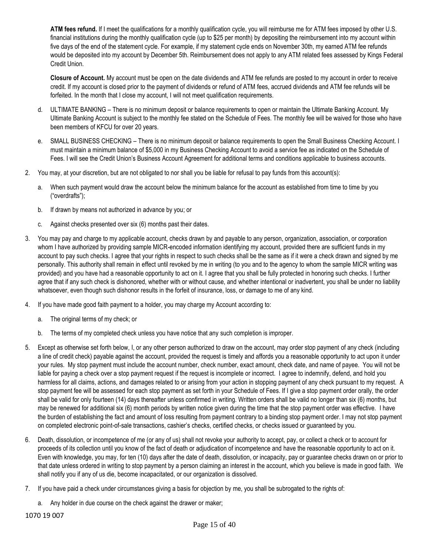**ATM fees refund.** If I meet the qualifications for a monthly qualification cycle, you will reimburse me for ATM fees imposed by other U.S. financial institutions during the monthly qualification cycle (up to \$25 per month) by depositing the reimbursement into my account within five days of the end of the statement cycle. For example, if my statement cycle ends on November 30th, my earned ATM fee refunds would be deposited into my account by December 5th. Reimbursement does not apply to any ATM related fees assessed by Kings Federal Credit Union.

**Closure of Account.** My account must be open on the date dividends and ATM fee refunds are posted to my account in order to receive credit. If my account is closed prior to the payment of dividends or refund of ATM fees, accrued dividends and ATM fee refunds will be forfeited. In the month that I close my account, I will not meet qualification requirements.

- d. ULTIMATE BANKING There is no minimum deposit or balance requirements to open or maintain the Ultimate Banking Account. My Ultimate Banking Account is subject to the monthly fee stated on the Schedule of Fees. The monthly fee will be waived for those who have been members of KFCU for over 20 years.
- e. SMALL BUSINESS CHECKING There is no minimum deposit or balance requirements to open the Small Business Checking Account. I must maintain a minimum balance of \$5,000 in my Business Checking Account to avoid a service fee as indicated on the Schedule of Fees. I will see the Credit Union's Business Account Agreement for additional terms and conditions applicable to business accounts.
- 2. You may, at your discretion, but are not obligated to nor shall you be liable for refusal to pay funds from this account(s):
	- a. When such payment would draw the account below the minimum balance for the account as established from time to time by you ("overdrafts");
	- b. If drawn by means not authorized in advance by you; or
	- c. Against checks presented over six (6) months past their dates.
- 3. You may pay and charge to my applicable account, checks drawn by and payable to any person, organization, association, or corporation whom I have authorized by providing sample MICR-encoded information identifying my account, provided there are sufficient funds in my account to pay such checks. I agree that your rights in respect to such checks shall be the same as if it were a check drawn and signed by me personally. This authority shall remain in effect until revoked by me in writing (to you and to the agency to whom the sample MICR writing was provided) and you have had a reasonable opportunity to act on it. I agree that you shall be fully protected in honoring such checks. I further agree that if any such check is dishonored, whether with or without cause, and whether intentional or inadvertent, you shall be under no liability whatsoever, even though such dishonor results in the forfeit of insurance, loss, or damage to me of any kind.
- 4. If you have made good faith payment to a holder, you may charge my Account according to:
	- a. The original terms of my check; or
	- b. The terms of my completed check unless you have notice that any such completion is improper.
- 5. Except as otherwise set forth below, I, or any other person authorized to draw on the account, may order stop payment of any check (including a line of credit check) payable against the account, provided the request is timely and affords you a reasonable opportunity to act upon it under your rules. My stop payment must include the account number, check number, exact amount, check date, and name of payee. You will not be liable for paying a check over a stop payment request if the request is incomplete or incorrect. I agree to indemnify, defend, and hold you harmless for all claims, actions, and damages related to or arising from your action in stopping payment of any check pursuant to my request. A stop payment fee will be assessed for each stop payment as set forth in your Schedule of Fees. If I give a stop payment order orally, the order shall be valid for only fourteen (14) days thereafter unless confirmed in writing. Written orders shall be valid no longer than six (6) months, but may be renewed for additional six (6) month periods by written notice given during the time that the stop payment order was effective. I have the burden of establishing the fact and amount of loss resulting from payment contrary to a binding stop payment order. I may not stop payment on completed electronic point-of-sale transactions, cashier's checks, certified checks, or checks issued or guaranteed by you.
- 6. Death, dissolution, or incompetence of me (or any of us) shall not revoke your authority to accept, pay, or collect a check or to account for proceeds of its collection until you know of the fact of death or adjudication of incompetence and have the reasonable opportunity to act on it. Even with knowledge, you may, for ten (10) days after the date of death, dissolution, or incapacity, pay or guarantee checks drawn on or prior to that date unless ordered in writing to stop payment by a person claiming an interest in the account, which you believe is made in good faith. We shall notify you if any of us die, become incapacitated, or our organization is dissolved.
- 7. If you have paid a check under circumstances giving a basis for objection by me, you shall be subrogated to the rights of:
	- a. Any holder in due course on the check against the drawer or maker;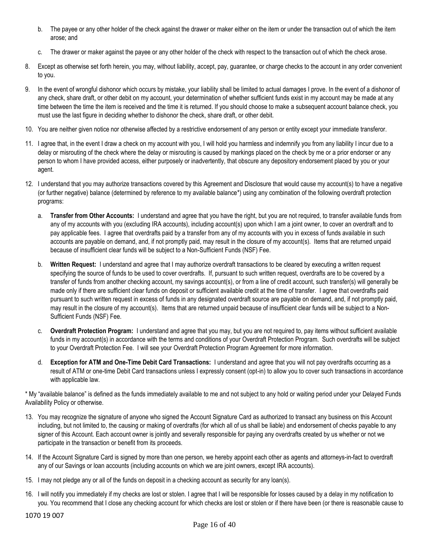- b. The payee or any other holder of the check against the drawer or maker either on the item or under the transaction out of which the item arose; and
- c. The drawer or maker against the payee or any other holder of the check with respect to the transaction out of which the check arose.
- 8. Except as otherwise set forth herein, you may, without liability, accept, pay, guarantee, or charge checks to the account in any order convenient to you.
- 9. In the event of wrongful dishonor which occurs by mistake, your liability shall be limited to actual damages I prove. In the event of a dishonor of any check, share draft, or other debit on my account, your determination of whether sufficient funds exist in my account may be made at any time between the time the item is received and the time it is returned. If you should choose to make a subsequent account balance check, you must use the last figure in deciding whether to dishonor the check, share draft, or other debit.
- 10. You are neither given notice nor otherwise affected by a restrictive endorsement of any person or entity except your immediate transferor.
- 11. I agree that, in the event I draw a check on my account with you, I will hold you harmless and indemnify you from any liability I incur due to a delay or misrouting of the check where the delay or misrouting is caused by markings placed on the check by me or a prior endorser or any person to whom I have provided access, either purposely or inadvertently, that obscure any depository endorsement placed by you or your agent.
- 12. I understand that you may authorize transactions covered by this Agreement and Disclosure that would cause my account(s) to have a negative (or further negative) balance (determined by reference to my available balance\*) using any combination of the following overdraft protection programs:
	- a. **Transfer from Other Accounts:** I understand and agree that you have the right, but you are not required, to transfer available funds from any of my accounts with you (excluding IRA accounts), including account(s) upon which I am a joint owner, to cover an overdraft and to pay applicable fees. I agree that overdrafts paid by a transfer from any of my accounts with you in excess of funds available in such accounts are payable on demand, and, if not promptly paid, may result in the closure of my account(s). Items that are returned unpaid because of insufficient clear funds will be subject to a Non-Sufficient Funds (NSF) Fee.
	- b. **Written Request:** I understand and agree that I may authorize overdraft transactions to be cleared by executing a written request specifying the source of funds to be used to cover overdrafts. If, pursuant to such written request, overdrafts are to be covered by a transfer of funds from another checking account, my savings account(s), or from a line of credit account, such transfer(s) will generally be made only if there are sufficient clear funds on deposit or sufficient available credit at the time of transfer. I agree that overdrafts paid pursuant to such written request in excess of funds in any designated overdraft source are payable on demand, and, if not promptly paid, may result in the closure of my account(s). Items that are returned unpaid because of insufficient clear funds will be subject to a Non-Sufficient Funds (NSF) Fee.
	- c. **Overdraft Protection Program:** I understand and agree that you may, but you are not required to, pay items without sufficient available funds in my account(s) in accordance with the terms and conditions of your Overdraft Protection Program. Such overdrafts will be subject to your Overdraft Protection Fee. I will see your Overdraft Protection Program Agreement for more information.
	- d. **Exception for ATM and One-Time Debit Card Transactions:** I understand and agree that you will not pay overdrafts occurring as a result of ATM or one-time Debit Card transactions unless I expressly consent (opt-in) to allow you to cover such transactions in accordance with applicable law.

\* My "available balance" is defined as the funds immediately available to me and not subject to any hold or waiting period under your Delayed Funds Availability Policy or otherwise.

- 13. You may recognize the signature of anyone who signed the Account Signature Card as authorized to transact any business on this Account including, but not limited to, the causing or making of overdrafts (for which all of us shall be liable) and endorsement of checks payable to any signer of this Account. Each account owner is jointly and severally responsible for paying any overdrafts created by us whether or not we participate in the transaction or benefit from its proceeds.
- 14. If the Account Signature Card is signed by more than one person, we hereby appoint each other as agents and attorneys-in-fact to overdraft any of our Savings or loan accounts (including accounts on which we are joint owners, except IRA accounts).
- 15. I may not pledge any or all of the funds on deposit in a checking account as security for any loan(s).
- 16. I will notify you immediately if my checks are lost or stolen. I agree that I will be responsible for losses caused by a delay in my notification to you. You recommend that I close any checking account for which checks are lost or stolen or if there have been (or there is reasonable cause to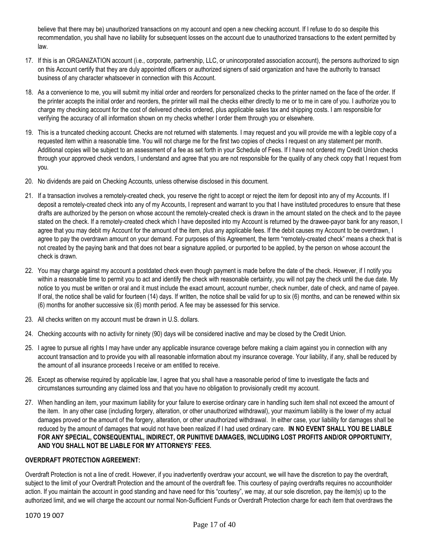believe that there may be) unauthorized transactions on my account and open a new checking account. If I refuse to do so despite this recommendation, you shall have no liability for subsequent losses on the account due to unauthorized transactions to the extent permitted by law.

- 17. If this is an ORGANIZATION account (i.e., corporate, partnership, LLC, or unincorporated association account), the persons authorized to sign on this Account certify that they are duly appointed officers or authorized signers of said organization and have the authority to transact business of any character whatsoever in connection with this Account.
- 18. As a convenience to me, you will submit my initial order and reorders for personalized checks to the printer named on the face of the order. If the printer accepts the initial order and reorders, the printer will mail the checks either directly to me or to me in care of you. I authorize you to charge my checking account for the cost of delivered checks ordered, plus applicable sales tax and shipping costs. I am responsible for verifying the accuracy of all information shown on my checks whether I order them through you or elsewhere.
- 19. This is a truncated checking account. Checks are not returned with statements. I may request and you will provide me with a legible copy of a requested item within a reasonable time. You will not charge me for the first two copies of checks I request on any statement per month. Additional copies will be subject to an assessment of a fee as set forth in your Schedule of Fees. If I have not ordered my Credit Union checks through your approved check vendors, I understand and agree that you are not responsible for the quality of any check copy that I request from you.
- 20. No dividends are paid on Checking Accounts, unless otherwise disclosed in this document.
- 21. If a transaction involves a remotely-created check, you reserve the right to accept or reject the item for deposit into any of my Accounts. If I deposit a remotely-created check into any of my Accounts, I represent and warrant to you that I have instituted procedures to ensure that these drafts are authorized by the person on whose account the remotely-created check is drawn in the amount stated on the check and to the payee stated on the check. If a remotely-created check which I have deposited into my Account is returned by the drawee-payor bank for any reason, I agree that you may debit my Account for the amount of the item, plus any applicable fees. If the debit causes my Account to be overdrawn, I agree to pay the overdrawn amount on your demand. For purposes of this Agreement, the term "remotely-created check" means a check that is not created by the paying bank and that does not bear a signature applied, or purported to be applied, by the person on whose account the check is drawn.
- 22. You may charge against my account a postdated check even though payment is made before the date of the check. However, if I notify you within a reasonable time to permit you to act and identify the check with reasonable certainty, you will not pay the check until the due date. My notice to you must be written or oral and it must include the exact amount, account number, check number, date of check, and name of payee. If oral, the notice shall be valid for fourteen (14) days. If written, the notice shall be valid for up to six (6) months, and can be renewed within six (6) months for another successive six (6) month period. A fee may be assessed for this service.
- 23. All checks written on my account must be drawn in U.S. dollars.
- 24. Checking accounts with no activity for ninety (90) days will be considered inactive and may be closed by the Credit Union.
- 25. I agree to pursue all rights I may have under any applicable insurance coverage before making a claim against you in connection with any account transaction and to provide you with all reasonable information about my insurance coverage. Your liability, if any, shall be reduced by the amount of all insurance proceeds I receive or am entitled to receive.
- 26. Except as otherwise required by applicable law, I agree that you shall have a reasonable period of time to investigate the facts and circumstances surrounding any claimed loss and that you have no obligation to provisionally credit my account.
- 27. When handling an item, your maximum liability for your failure to exercise ordinary care in handling such item shall not exceed the amount of the item. In any other case (including forgery, alteration, or other unauthorized withdrawal), your maximum liability is the lower of my actual damages proved or the amount of the forgery, alteration, or other unauthorized withdrawal. In either case, your liability for damages shall be reduced by the amount of damages that would not have been realized if I had used ordinary care. **IN NO EVENT SHALL YOU BE LIABLE FOR ANY SPECIAL, CONSEQUENTIAL, INDIRECT, OR PUNITIVE DAMAGES, INCLUDING LOST PROFITS AND/OR OPPORTUNITY, AND YOU SHALL NOT BE LIABLE FOR MY ATTORNEYS' FEES.**

## **OVERDRAFT PROTECTION AGREEMENT:**

Overdraft Protection is not a line of credit. However, if you inadvertently overdraw your account, we will have the discretion to pay the overdraft, subject to the limit of your Overdraft Protection and the amount of the overdraft fee. This courtesy of paying overdrafts requires no accountholder action. If you maintain the account in good standing and have need for this "courtesy", we may, at our sole discretion, pay the item(s) up to the authorized limit, and we will charge the account our normal Non-Sufficient Funds or Overdraft Protection charge for each item that overdraws the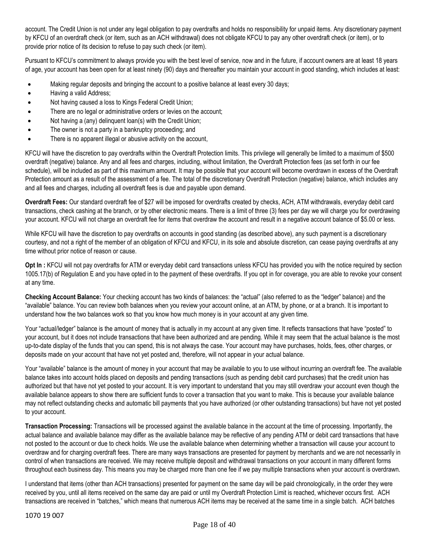account. The Credit Union is not under any legal obligation to pay overdrafts and holds no responsibility for unpaid items. Any discretionary payment by KFCU of an overdraft check (or item, such as an ACH withdrawal) does not obligate KFCU to pay any other overdraft check (or item), or to provide prior notice of its decision to refuse to pay such check (or item).

Pursuant to KFCU's commitment to always provide you with the best level of service, now and in the future, if account owners are at least 18 years of age, your account has been open for at least ninety (90) days and thereafter you maintain your account in good standing, which includes at least:

- Making regular deposits and bringing the account to a positive balance at least every 30 days;
- Having a valid Address;
- Not having caused a loss to Kings Federal Credit Union;
- There are no legal or administrative orders or levies on the account;
- Not having a (any) delinquent loan(s) with the Credit Union;
- The owner is not a party in a bankruptcy proceeding; and
- There is no apparent illegal or abusive activity on the account,

KFCU will have the discretion to pay overdrafts within the Overdraft Protection limits. This privilege will generally be limited to a maximum of \$500 overdraft (negative) balance. Any and all fees and charges, including, without limitation, the Overdraft Protection fees (as set forth in our fee schedule), will be included as part of this maximum amount. It may be possible that your account will become overdrawn in excess of the Overdraft Protection amount as a result of the assessment of a fee. The total of the discretionary Overdraft Protection (negative) balance, which includes any and all fees and charges, including all overdraft fees is due and payable upon demand.

**Overdraft Fees:** Our standard overdraft fee of \$27 will be imposed for overdrafts created by checks, ACH, ATM withdrawals, everyday debit card transactions, check cashing at the branch, or by other electronic means. There is a limit of three (3) fees per day we will charge you for overdrawing your account. KFCU will not charge an overdraft fee for items that overdraw the account and result in a negative account balance of \$5.00 or less.

While KFCU will have the discretion to pay overdrafts on accounts in good standing (as described above), any such payment is a discretionary courtesy, and not a right of the member of an obligation of KFCU and KFCU, in its sole and absolute discretion, can cease paying overdrafts at any time without prior notice of reason or cause.

**Opt In :** KFCU will not pay overdrafts for ATM or everyday debit card transactions unless KFCU has provided you with the notice required by section 1005.17(b) of Regulation E and you have opted in to the payment of these overdrafts. If you opt in for coverage, you are able to revoke your consent at any time.

**Checking Account Balance:** Your checking account has two kinds of balances: the "actual" (also referred to as the "ledger" balance) and the "available" balance. You can review both balances when you review your account online, at an ATM, by phone, or at a branch. It is important to understand how the two balances work so that you know how much money is in your account at any given time.

Your "actual/ledger" balance is the amount of money that is actually in my account at any given time. It reflects transactions that have "posted" to your account, but it does not include transactions that have been authorized and are pending. While it may seem that the actual balance is the most up-to-date display of the funds that you can spend, this is not always the case. Your account may have purchases, holds, fees, other charges, or deposits made on your account that have not yet posted and, therefore, will not appear in your actual balance.

Your "available" balance is the amount of money in your account that may be available to you to use without incurring an overdraft fee. The available balance takes into account holds placed on deposits and pending transactions (such as pending debit card purchases) that the credit union has authorized but that have not yet posted to your account. It is very important to understand that you may still overdraw your account even though the available balance appears to show there are sufficient funds to cover a transaction that you want to make. This is because your available balance may not reflect outstanding checks and automatic bill payments that you have authorized (or other outstanding transactions) but have not yet posted to your account.

**Transaction Processing:** Transactions will be processed against the available balance in the account at the time of processing. Importantly, the actual balance and available balance may differ as the available balance may be reflective of any pending ATM or debit card transactions that have not posted to the account or due to check holds. We use the available balance when determining whether a transaction will cause your account to overdraw and for charging overdraft fees. There are many ways transactions are presented for payment by merchants and we are not necessarily in control of when transactions are received. We may receive multiple deposit and withdrawal transactions on your account in many different forms throughout each business day. This means you may be charged more than one fee if we pay multiple transactions when your account is overdrawn.

I understand that items (other than ACH transactions) presented for payment on the same day will be paid chronologically, in the order they were received by you, until all items received on the same day are paid or until my Overdraft Protection Limit is reached, whichever occurs first. ACH transactions are received in "batches," which means that numerous ACH items may be received at the same time in a single batch. ACH batches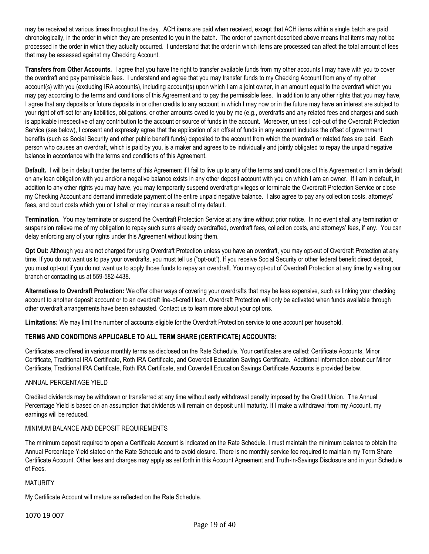may be received at various times throughout the day. ACH items are paid when received, except that ACH items within a single batch are paid chronologically, in the order in which they are presented to you in the batch. The order of payment described above means that items may not be processed in the order in which they actually occurred. I understand that the order in which items are processed can affect the total amount of fees that may be assessed against my Checking Account.

**Transfers from Other Accounts.** I agree that you have the right to transfer available funds from my other accounts I may have with you to cover the overdraft and pay permissible fees. I understand and agree that you may transfer funds to my Checking Account from any of my other account(s) with you (excluding IRA accounts), including account(s) upon which I am a joint owner, in an amount equal to the overdraft which you may pay according to the terms and conditions of this Agreement and to pay the permissible fees. In addition to any other rights that you may have, I agree that any deposits or future deposits in or other credits to any account in which I may now or in the future may have an interest are subject to your right of off-set for any liabilities, obligations, or other amounts owed to you by me (e.g., overdrafts and any related fees and charges) and such is applicable irrespective of any contribution to the account or source of funds in the account. Moreover, unless I opt-out of the Overdraft Protection Service (see below), I consent and expressly agree that the application of an offset of funds in any account includes the offset of government benefits (such as Social Security and other public benefit funds) deposited to the account from which the overdraft or related fees are paid. Each person who causes an overdraft, which is paid by you, is a maker and agrees to be individually and jointly obligated to repay the unpaid negative balance in accordance with the terms and conditions of this Agreement.

**Default.** I will be in default under the terms of this Agreement if I fail to live up to any of the terms and conditions of this Agreement or I am in default on any loan obligation with you and/or a negative balance exists in any other deposit account with you on which I am an owner. If I am in default, in addition to any other rights you may have, you may temporarily suspend overdraft privileges or terminate the Overdraft Protection Service or close my Checking Account and demand immediate payment of the entire unpaid negative balance. I also agree to pay any collection costs, attorneys' fees, and court costs which you or I shall or may incur as a result of my default.

**Termination.** You may terminate or suspend the Overdraft Protection Service at any time without prior notice. In no event shall any termination or suspension relieve me of my obligation to repay such sums already overdrafted, overdraft fees, collection costs, and attorneys' fees, if any. You can delay enforcing any of your rights under this Agreement without losing them.

**Opt Out:** Although you are not charged for using Overdraft Protection unless you have an overdraft, you may opt-out of Overdraft Protection at any time. If you do not want us to pay your overdrafts, you must tell us ("opt-out"). If you receive Social Security or other federal benefit direct deposit, you must opt-out if you do not want us to apply those funds to repay an overdraft. You may opt-out of Overdraft Protection at any time by visiting our branch or contacting us at 559-582-4438.

**Alternatives to Overdraft Protection:** We offer other ways of covering your overdrafts that may be less expensive, such as linking your checking account to another deposit account or to an overdraft line-of-credit loan. Overdraft Protection will only be activated when funds available through other overdraft arrangements have been exhausted. Contact us to learn more about your options.

**Limitations:** We may limit the number of accounts eligible for the Overdraft Protection service to one account per household.

## **TERMS AND CONDITIONS APPLICABLE TO ALL TERM SHARE (CERTIFICATE) ACCOUNTS:**

Certificates are offered in various monthly terms as disclosed on the Rate Schedule. Your certificates are called: Certificate Accounts, Minor Certificate, Traditional IRA Certificate, Roth IRA Certificate, and Coverdell Education Savings Certificate. Additional information about our Minor Certificate, Traditional IRA Certificate, Roth IRA Certificate, and Coverdell Education Savings Certificate Accounts is provided below.

## ANNUAL PERCENTAGE YIELD

Credited dividends may be withdrawn or transferred at any time without early withdrawal penalty imposed by the Credit Union. The Annual Percentage Yield is based on an assumption that dividends will remain on deposit until maturity. If I make a withdrawal from my Account, my earnings will be reduced.

#### MINIMUM BALANCE AND DEPOSIT REQUIREMENTS

The minimum deposit required to open a Certificate Account is indicated on the Rate Schedule. I must maintain the minimum balance to obtain the Annual Percentage Yield stated on the Rate Schedule and to avoid closure. There is no monthly service fee required to maintain my Term Share Certificate Account. Other fees and charges may apply as set forth in this Account Agreement and Truth-in-Savings Disclosure and in your Schedule of Fees.

#### MATURITY

My Certificate Account will mature as reflected on the Rate Schedule.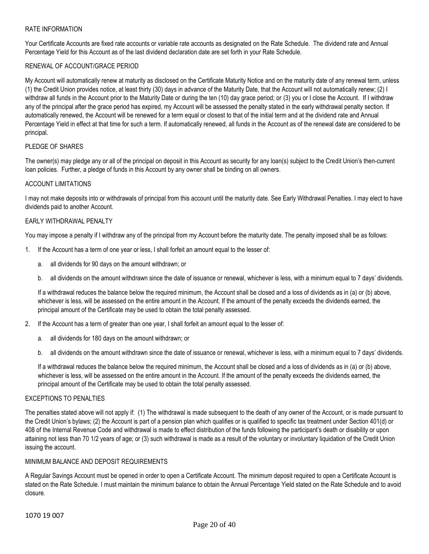#### RATE INFORMATION

Your Certificate Accounts are fixed rate accounts or variable rate accounts as designated on the Rate Schedule. The dividend rate and Annual Percentage Yield for this Account as of the last dividend declaration date are set forth in your Rate Schedule.

#### RENEWAL OF ACCOUNT/GRACE PERIOD

My Account will automatically renew at maturity as disclosed on the Certificate Maturity Notice and on the maturity date of any renewal term, unless (1) the Credit Union provides notice, at least thirty (30) days in advance of the Maturity Date, that the Account will not automatically renew; (2) I withdraw all funds in the Account prior to the Maturity Date or during the ten (10) day grace period; or (3) you or I close the Account. If I withdraw any of the principal after the grace period has expired, my Account will be assessed the penalty stated in the early withdrawal penalty section. If automatically renewed, the Account will be renewed for a term equal or closest to that of the initial term and at the dividend rate and Annual Percentage Yield in effect at that time for such a term. If automatically renewed, all funds in the Account as of the renewal date are considered to be principal.

## PLEDGE OF SHARES

The owner(s) may pledge any or all of the principal on deposit in this Account as security for any loan(s) subject to the Credit Union's then-current loan policies. Further, a pledge of funds in this Account by any owner shall be binding on all owners.

#### ACCOUNT LIMITATIONS

I may not make deposits into or withdrawals of principal from this account until the maturity date. See Early Withdrawal Penalties. I may elect to have dividends paid to another Account.

#### EARLY WITHDRAWAL PENALTY

You may impose a penalty if I withdraw any of the principal from my Account before the maturity date. The penalty imposed shall be as follows:

- 1. If the Account has a term of one year or less, I shall forfeit an amount equal to the lesser of:
	- a. all dividends for 90 days on the amount withdrawn; or
	- b. all dividends on the amount withdrawn since the date of issuance or renewal, whichever is less, with a minimum equal to 7 days' dividends.

If a withdrawal reduces the balance below the required minimum, the Account shall be closed and a loss of dividends as in (a) or (b) above, whichever is less, will be assessed on the entire amount in the Account. If the amount of the penalty exceeds the dividends earned, the principal amount of the Certificate may be used to obtain the total penalty assessed.

- 2. If the Account has a term of greater than one year, I shall forfeit an amount equal to the lesser of:
	- a. all dividends for 180 days on the amount withdrawn; or
	- b. all dividends on the amount withdrawn since the date of issuance or renewal, whichever is less, with a minimum equal to 7 days' dividends.

If a withdrawal reduces the balance below the required minimum, the Account shall be closed and a loss of dividends as in (a) or (b) above, whichever is less, will be assessed on the entire amount in the Account. If the amount of the penalty exceeds the dividends earned, the principal amount of the Certificate may be used to obtain the total penalty assessed.

#### EXCEPTIONS TO PENALTIES

The penalties stated above will not apply if: (1) The withdrawal is made subsequent to the death of any owner of the Account, or is made pursuant to the Credit Union's bylaws; (2) the Account is part of a pension plan which qualifies or is qualified to specific tax treatment under Section 401(d) or 408 of the Internal Revenue Code and withdrawal is made to effect distribution of the funds following the participant's death or disability or upon attaining not less than 70 1/2 years of age; or (3) such withdrawal is made as a result of the voluntary or involuntary liquidation of the Credit Union issuing the account.

## MINIMUM BALANCE AND DEPOSIT REQUIREMENTS

A Regular Savings Account must be opened in order to open a Certificate Account. The minimum deposit required to open a Certificate Account is stated on the Rate Schedule. I must maintain the minimum balance to obtain the Annual Percentage Yield stated on the Rate Schedule and to avoid closure.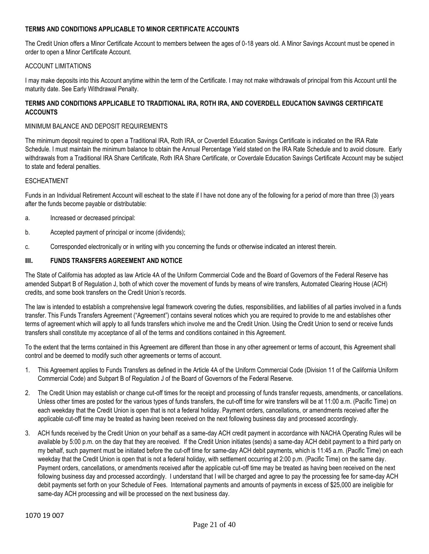## **TERMS AND CONDITIONS APPLICABLE TO MINOR CERTIFICATE ACCOUNTS**

The Credit Union offers a Minor Certificate Account to members between the ages of 0-18 years old. A Minor Savings Account must be opened in order to open a Minor Certificate Account.

#### ACCOUNT LIMITATIONS

I may make deposits into this Account anytime within the term of the Certificate. I may not make withdrawals of principal from this Account until the maturity date. See Early Withdrawal Penalty.

## **TERMS AND CONDITIONS APPLICABLE TO TRADITIONAL IRA, ROTH IRA, AND COVERDELL EDUCATION SAVINGS CERTIFICATE ACCOUNTS**

#### MINIMUM BALANCE AND DEPOSIT REQUIREMENTS

The minimum deposit required to open a Traditional IRA, Roth IRA, or Coverdell Education Savings Certificate is indicated on the IRA Rate Schedule. I must maintain the minimum balance to obtain the Annual Percentage Yield stated on the IRA Rate Schedule and to avoid closure. Early withdrawals from a Traditional IRA Share Certificate, Roth IRA Share Certificate, or Coverdale Education Savings Certificate Account may be subject to state and federal penalties.

#### ESCHEATMENT

Funds in an Individual Retirement Account will escheat to the state if I have not done any of the following for a period of more than three (3) years after the funds become payable or distributable:

- a. Increased or decreased principal:
- b. Accepted payment of principal or income (dividends);
- c. Corresponded electronically or in writing with you concerning the funds or otherwise indicated an interest therein.

#### **III. FUNDS TRANSFERS AGREEMENT AND NOTICE**

The State of California has adopted as law Article 4A of the Uniform Commercial Code and the Board of Governors of the Federal Reserve has amended Subpart B of Regulation J, both of which cover the movement of funds by means of wire transfers, Automated Clearing House (ACH) credits, and some book transfers on the Credit Union's records.

The law is intended to establish a comprehensive legal framework covering the duties, responsibilities, and liabilities of all parties involved in a funds transfer. This Funds Transfers Agreement ("Agreement") contains several notices which you are required to provide to me and establishes other terms of agreement which will apply to all funds transfers which involve me and the Credit Union. Using the Credit Union to send or receive funds transfers shall constitute my acceptance of all of the terms and conditions contained in this Agreement.

To the extent that the terms contained in this Agreement are different than those in any other agreement or terms of account, this Agreement shall control and be deemed to modify such other agreements or terms of account.

- 1. This Agreement applies to Funds Transfers as defined in the Article 4A of the Uniform Commercial Code (Division 11 of the California Uniform Commercial Code) and Subpart B of Regulation J of the Board of Governors of the Federal Reserve.
- 2. The Credit Union may establish or change cut-off times for the receipt and processing of funds transfer requests, amendments, or cancellations. Unless other times are posted for the various types of funds transfers, the cut-off time for wire transfers will be at 11:00 a.m. (Pacific Time) on each weekday that the Credit Union is open that is not a federal holiday. Payment orders, cancellations, or amendments received after the applicable cut-off time may be treated as having been received on the next following business day and processed accordingly.
- 3. ACH funds received by the Credit Union on your behalf as a same-day ACH credit payment in accordance with NACHA Operating Rules will be available by 5:00 p.m. on the day that they are received. If the Credit Union initiates (sends) a same-day ACH debit payment to a third party on my behalf, such payment must be initiated before the cut-off time for same-day ACH debit payments, which is 11:45 a.m. (Pacific Time) on each weekday that the Credit Union is open that is not a federal holiday, with settlement occurring at 2:00 p.m. (Pacific Time) on the same day. Payment orders, cancellations, or amendments received after the applicable cut-off time may be treated as having been received on the next following business day and processed accordingly. I understand that I will be charged and agree to pay the processing fee for same-day ACH debit payments set forth on your Schedule of Fees. International payments and amounts of payments in excess of \$25,000 are ineligible for same-day ACH processing and will be processed on the next business day.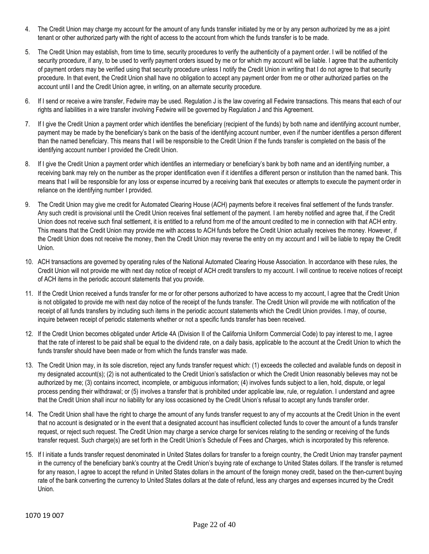- 4. The Credit Union may charge my account for the amount of any funds transfer initiated by me or by any person authorized by me as a joint tenant or other authorized party with the right of access to the account from which the funds transfer is to be made.
- 5. The Credit Union may establish, from time to time, security procedures to verify the authenticity of a payment order. I will be notified of the security procedure, if any, to be used to verify payment orders issued by me or for which my account will be liable. I agree that the authenticity of payment orders may be verified using that security procedure unless I notify the Credit Union in writing that I do not agree to that security procedure. In that event, the Credit Union shall have no obligation to accept any payment order from me or other authorized parties on the account until I and the Credit Union agree, in writing, on an alternate security procedure.
- 6. If I send or receive a wire transfer, Fedwire may be used. Regulation J is the law covering all Fedwire transactions. This means that each of our rights and liabilities in a wire transfer involving Fedwire will be governed by Regulation J and this Agreement.
- 7. If I give the Credit Union a payment order which identifies the beneficiary (recipient of the funds) by both name and identifying account number, payment may be made by the beneficiary's bank on the basis of the identifying account number, even if the number identifies a person different than the named beneficiary. This means that I will be responsible to the Credit Union if the funds transfer is completed on the basis of the identifying account number I provided the Credit Union.
- 8. If I give the Credit Union a payment order which identifies an intermediary or beneficiary's bank by both name and an identifying number, a receiving bank may rely on the number as the proper identification even if it identifies a different person or institution than the named bank. This means that I will be responsible for any loss or expense incurred by a receiving bank that executes or attempts to execute the payment order in reliance on the identifying number I provided.
- 9. The Credit Union may give me credit for Automated Clearing House (ACH) payments before it receives final settlement of the funds transfer. Any such credit is provisional until the Credit Union receives final settlement of the payment. I am hereby notified and agree that, if the Credit Union does not receive such final settlement, it is entitled to a refund from me of the amount credited to me in connection with that ACH entry. This means that the Credit Union may provide me with access to ACH funds before the Credit Union actually receives the money. However, if the Credit Union does not receive the money, then the Credit Union may reverse the entry on my account and I will be liable to repay the Credit Union.
- 10. ACH transactions are governed by operating rules of the National Automated Clearing House Association. In accordance with these rules, the Credit Union will not provide me with next day notice of receipt of ACH credit transfers to my account. I will continue to receive notices of receipt of ACH items in the periodic account statements that you provide.
- 11. If the Credit Union received a funds transfer for me or for other persons authorized to have access to my account, I agree that the Credit Union is not obligated to provide me with next day notice of the receipt of the funds transfer. The Credit Union will provide me with notification of the receipt of all funds transfers by including such items in the periodic account statements which the Credit Union provides. I may, of course, inquire between receipt of periodic statements whether or not a specific funds transfer has been received.
- 12. If the Credit Union becomes obligated under Article 4A (Division II of the California Uniform Commercial Code) to pay interest to me, I agree that the rate of interest to be paid shall be equal to the dividend rate, on a daily basis, applicable to the account at the Credit Union to which the funds transfer should have been made or from which the funds transfer was made.
- 13. The Credit Union may, in its sole discretion, reject any funds transfer request which: (1) exceeds the collected and available funds on deposit in my designated account(s); (2) is not authenticated to the Credit Union's satisfaction or which the Credit Union reasonably believes may not be authorized by me; (3) contains incorrect, incomplete, or ambiguous information; (4) involves funds subject to a lien, hold, dispute, or legal process pending their withdrawal; or (5) involves a transfer that is prohibited under applicable law, rule, or regulation. I understand and agree that the Credit Union shall incur no liability for any loss occasioned by the Credit Union's refusal to accept any funds transfer order.
- 14. The Credit Union shall have the right to charge the amount of any funds transfer request to any of my accounts at the Credit Union in the event that no account is designated or in the event that a designated account has insufficient collected funds to cover the amount of a funds transfer request, or reject such request. The Credit Union may charge a service charge for services relating to the sending or receiving of the funds transfer request. Such charge(s) are set forth in the Credit Union's Schedule of Fees and Charges, which is incorporated by this reference.
- 15. If I initiate a funds transfer request denominated in United States dollars for transfer to a foreign country, the Credit Union may transfer payment in the currency of the beneficiary bank's country at the Credit Union's buying rate of exchange to United States dollars. If the transfer is returned for any reason, I agree to accept the refund in United States dollars in the amount of the foreign money credit, based on the then-current buying rate of the bank converting the currency to United States dollars at the date of refund, less any charges and expenses incurred by the Credit Union.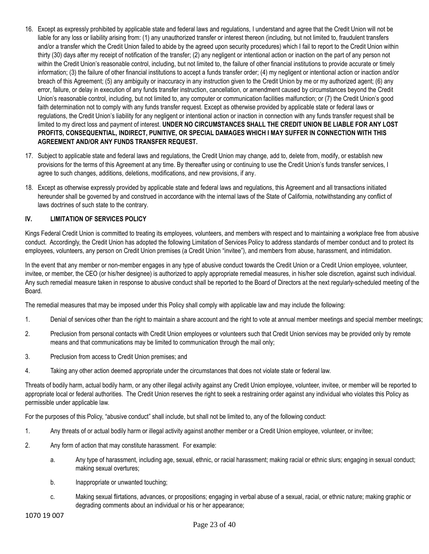- 16. Except as expressly prohibited by applicable state and federal laws and regulations, I understand and agree that the Credit Union will not be liable for any loss or liability arising from: (1) any unauthorized transfer or interest thereon (including, but not limited to, fraudulent transfers and/or a transfer which the Credit Union failed to abide by the agreed upon security procedures) which I fail to report to the Credit Union within thirty (30) days after my receipt of notification of the transfer; (2) any negligent or intentional action or inaction on the part of any person not within the Credit Union's reasonable control, including, but not limited to, the failure of other financial institutions to provide accurate or timely information; (3) the failure of other financial institutions to accept a funds transfer order; (4) my negligent or intentional action or inaction and/or breach of this Agreement; (5) any ambiguity or inaccuracy in any instruction given to the Credit Union by me or my authorized agent; (6) any error, failure, or delay in execution of any funds transfer instruction, cancellation, or amendment caused by circumstances beyond the Credit Union's reasonable control, including, but not limited to, any computer or communication facilities malfunction; or (7) the Credit Union's good faith determination not to comply with any funds transfer request. Except as otherwise provided by applicable state or federal laws or regulations, the Credit Union's liability for any negligent or intentional action or inaction in connection with any funds transfer request shall be limited to my direct loss and payment of interest. **UNDER NO CIRCUMSTANCES SHALL THE CREDIT UNION BE LIABLE FOR ANY LOST PROFITS, CONSEQUENTIAL, INDIRECT, PUNITIVE, OR SPECIAL DAMAGES WHICH I MAY SUFFER IN CONNECTION WITH THIS AGREEMENT AND/OR ANY FUNDS TRANSFER REQUEST.**
- 17. Subject to applicable state and federal laws and regulations, the Credit Union may change, add to, delete from, modify, or establish new provisions for the terms of this Agreement at any time. By thereafter using or continuing to use the Credit Union's funds transfer services, I agree to such changes, additions, deletions, modifications, and new provisions, if any.
- 18. Except as otherwise expressly provided by applicable state and federal laws and regulations, this Agreement and all transactions initiated hereunder shall be governed by and construed in accordance with the internal laws of the State of California, notwithstanding any conflict of laws doctrines of such state to the contrary.

## **IV. LIMITATION OF SERVICES POLICY**

Kings Federal Credit Union is committed to treating its employees, volunteers, and members with respect and to maintaining a workplace free from abusive conduct. Accordingly, the Credit Union has adopted the following Limitation of Services Policy to address standards of member conduct and to protect its employees, volunteers, any person on Credit Union premises (a Credit Union "invitee"), and members from abuse, harassment, and intimidation.

In the event that any member or non-member engages in any type of abusive conduct towards the Credit Union or a Credit Union employee, volunteer, invitee, or member, the CEO (or his/her designee) is authorized to apply appropriate remedial measures, in his/her sole discretion, against such individual. Any such remedial measure taken in response to abusive conduct shall be reported to the Board of Directors at the next regularly-scheduled meeting of the Board.

The remedial measures that may be imposed under this Policy shall comply with applicable law and may include the following:

- 1. Denial of services other than the right to maintain a share account and the right to vote at annual member meetings and special member meetings;
- 2. Preclusion from personal contacts with Credit Union employees or volunteers such that Credit Union services may be provided only by remote means and that communications may be limited to communication through the mail only;
- 3. Preclusion from access to Credit Union premises; and
- 4. Taking any other action deemed appropriate under the circumstances that does not violate state or federal law.

Threats of bodily harm, actual bodily harm, or any other illegal activity against any Credit Union employee, volunteer, invitee, or member will be reported to appropriate local or federal authorities. The Credit Union reserves the right to seek a restraining order against any individual who violates this Policy as permissible under applicable law.

For the purposes of this Policy, "abusive conduct" shall include, but shall not be limited to, any of the following conduct:

- 1. Any threats of or actual bodily harm or illegal activity against another member or a Credit Union employee, volunteer, or invitee;
- 2. Any form of action that may constitute harassment. For example:
	- a. Any type of harassment, including age, sexual, ethnic, or racial harassment; making racial or ethnic slurs; engaging in sexual conduct; making sexual overtures;
	- b. Inappropriate or unwanted touching;
	- c. Making sexual flirtations, advances, or propositions; engaging in verbal abuse of a sexual, racial, or ethnic nature; making graphic or degrading comments about an individual or his or her appearance;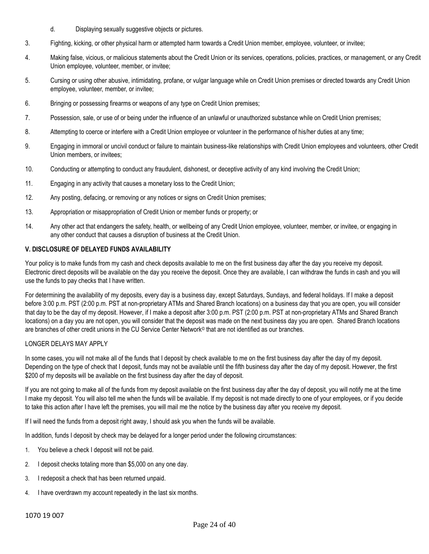- d. Displaying sexually suggestive objects or pictures.
- 3. Fighting, kicking, or other physical harm or attempted harm towards a Credit Union member, employee, volunteer, or invitee;
- 4. Making false, vicious, or malicious statements about the Credit Union or its services, operations, policies, practices, or management, or any Credit Union employee, volunteer, member, or invitee;
- 5. Cursing or using other abusive, intimidating, profane, or vulgar language while on Credit Union premises or directed towards any Credit Union employee, volunteer, member, or invitee;
- 6. Bringing or possessing firearms or weapons of any type on Credit Union premises;
- 7. Possession, sale, or use of or being under the influence of an unlawful or unauthorized substance while on Credit Union premises;
- 8. Attempting to coerce or interfere with a Credit Union employee or volunteer in the performance of his/her duties at any time;
- 9. Engaging in immoral or uncivil conduct or failure to maintain business-like relationships with Credit Union employees and volunteers, other Credit Union members, or invitees;
- 10. Conducting or attempting to conduct any fraudulent, dishonest, or deceptive activity of any kind involving the Credit Union;
- 11. Engaging in any activity that causes a monetary loss to the Credit Union;
- 12. Any posting, defacing, or removing or any notices or signs on Credit Union premises;
- 13. Appropriation or misappropriation of Credit Union or member funds or property; or
- 14. Any other act that endangers the safety, health, or wellbeing of any Credit Union employee, volunteer, member, or invitee, or engaging in any other conduct that causes a disruption of business at the Credit Union.

### **V. DISCLOSURE OF DELAYED FUNDS AVAILABILITY**

Your policy is to make funds from my cash and check deposits available to me on the first business day after the day you receive my deposit. Electronic direct deposits will be available on the day you receive the deposit. Once they are available, I can withdraw the funds in cash and you will use the funds to pay checks that I have written.

For determining the availability of my deposits, every day is a business day, except Saturdays, Sundays, and federal holidays. If I make a deposit before 3:00 p.m. PST (2:00 p.m. PST at non-proprietary ATMs and Shared Branch locations) on a business day that you are open, you will consider that day to be the day of my deposit. However, if I make a deposit after 3:00 p.m. PST (2:00 p.m. PST at non-proprietary ATMs and Shared Branch locations) on a day you are not open, you will consider that the deposit was made on the next business day you are open. Shared Branch locations are branches of other credit unions in the CU Service Center Network© that are not identified as our branches.

#### LONGER DELAYS MAY APPLY

In some cases, you will not make all of the funds that I deposit by check available to me on the first business day after the day of my deposit. Depending on the type of check that I deposit, funds may not be available until the fifth business day after the day of my deposit. However, the first \$200 of my deposits will be available on the first business day after the day of deposit.

If you are not going to make all of the funds from my deposit available on the first business day after the day of deposit, you will notify me at the time I make my deposit. You will also tell me when the funds will be available. If my deposit is not made directly to one of your employees, or if you decide to take this action after I have left the premises, you will mail me the notice by the business day after you receive my deposit.

If I will need the funds from a deposit right away, I should ask you when the funds will be available.

In addition, funds I deposit by check may be delayed for a longer period under the following circumstances:

- 1. You believe a check I deposit will not be paid.
- 2. I deposit checks totaling more than \$5,000 on any one day.
- 3. I redeposit a check that has been returned unpaid.
- 4. I have overdrawn my account repeatedly in the last six months.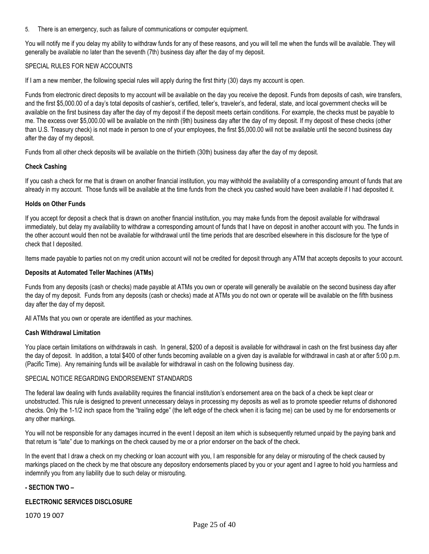5. There is an emergency, such as failure of communications or computer equipment.

You will notify me if you delay my ability to withdraw funds for any of these reasons, and you will tell me when the funds will be available. They will generally be available no later than the seventh (7th) business day after the day of my deposit.

#### SPECIAL RULES FOR NEW ACCOUNTS

If I am a new member, the following special rules will apply during the first thirty (30) days my account is open.

Funds from electronic direct deposits to my account will be available on the day you receive the deposit. Funds from deposits of cash, wire transfers, and the first \$5,000.00 of a day's total deposits of cashier's, certified, teller's, traveler's, and federal, state, and local government checks will be available on the first business day after the day of my deposit if the deposit meets certain conditions. For example, the checks must be payable to me. The excess over \$5,000.00 will be available on the ninth (9th) business day after the day of my deposit. If my deposit of these checks (other than U.S. Treasury check) is not made in person to one of your employees, the first \$5,000.00 will not be available until the second business day after the day of my deposit.

Funds from all other check deposits will be available on the thirtieth (30th) business day after the day of my deposit.

#### **Check Cashing**

If you cash a check for me that is drawn on another financial institution, you may withhold the availability of a corresponding amount of funds that are already in my account. Those funds will be available at the time funds from the check you cashed would have been available if I had deposited it.

#### **Holds on Other Funds**

If you accept for deposit a check that is drawn on another financial institution, you may make funds from the deposit available for withdrawal immediately, but delay my availability to withdraw a corresponding amount of funds that I have on deposit in another account with you. The funds in the other account would then not be available for withdrawal until the time periods that are described elsewhere in this disclosure for the type of check that I deposited.

Items made payable to parties not on my credit union account will not be credited for deposit through any ATM that accepts deposits to your account.

#### **Deposits at Automated Teller Machines (ATMs)**

Funds from any deposits (cash or checks) made payable at ATMs you own or operate will generally be available on the second business day after the day of my deposit. Funds from any deposits (cash or checks) made at ATMs you do not own or operate will be available on the fifth business day after the day of my deposit.

All ATMs that you own or operate are identified as your machines.

#### **Cash Withdrawal Limitation**

You place certain limitations on withdrawals in cash. In general, \$200 of a deposit is available for withdrawal in cash on the first business day after the day of deposit. In addition, a total \$400 of other funds becoming available on a given day is available for withdrawal in cash at or after 5:00 p.m. (Pacific Time). Any remaining funds will be available for withdrawal in cash on the following business day.

#### SPECIAL NOTICE REGARDING ENDORSEMENT STANDARDS

The federal law dealing with funds availability requires the financial institution's endorsement area on the back of a check be kept clear or unobstructed. This rule is designed to prevent unnecessary delays in processing my deposits as well as to promote speedier returns of dishonored checks. Only the 1-1/2 inch space from the "trailing edge" (the left edge of the check when it is facing me) can be used by me for endorsements or any other markings.

You will not be responsible for any damages incurred in the event I deposit an item which is subsequently returned unpaid by the paying bank and that return is "late" due to markings on the check caused by me or a prior endorser on the back of the check.

In the event that I draw a check on my checking or loan account with you, I am responsible for any delay or misrouting of the check caused by markings placed on the check by me that obscure any depository endorsements placed by you or your agent and I agree to hold you harmless and indemnify you from any liability due to such delay or misrouting.

#### **- SECTION TWO –**

#### **ELECTRONIC SERVICES DISCLOSURE**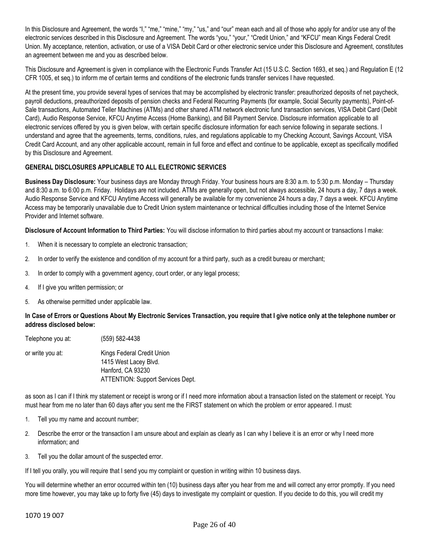In this Disclosure and Agreement, the words "I," "me," "mine," "my," "us," and "our" mean each and all of those who apply for and/or use any of the electronic services described in this Disclosure and Agreement. The words "you," "your," "Credit Union," and "KFCU" mean Kings Federal Credit Union. My acceptance, retention, activation, or use of a VISA Debit Card or other electronic service under this Disclosure and Agreement, constitutes an agreement between me and you as described below.

This Disclosure and Agreement is given in compliance with the Electronic Funds Transfer Act (15 U.S.C. Section 1693, et seq.) and Regulation E (12 CFR 1005, et seq.) to inform me of certain terms and conditions of the electronic funds transfer services I have requested.

At the present time, you provide several types of services that may be accomplished by electronic transfer: preauthorized deposits of net paycheck, payroll deductions, preauthorized deposits of pension checks and Federal Recurring Payments (for example, Social Security payments), Point-of-Sale transactions, Automated Teller Machines (ATMs) and other shared ATM network electronic fund transaction services, VISA Debit Card (Debit Card), Audio Response Service, KFCU Anytime Access (Home Banking), and Bill Payment Service. Disclosure information applicable to all electronic services offered by you is given below, with certain specific disclosure information for each service following in separate sections. I understand and agree that the agreements, terms, conditions, rules, and regulations applicable to my Checking Account, Savings Account, VISA Credit Card Account, and any other applicable account, remain in full force and effect and continue to be applicable, except as specifically modified by this Disclosure and Agreement.

## **GENERAL DISCLOSURES APPLICABLE TO ALL ELECTRONIC SERVICES**

**Business Day Disclosure:** Your business days are Monday through Friday. Your business hours are 8:30 a.m. to 5:30 p.m. Monday – Thursday and 8:30 a.m. to 6:00 p.m. Friday. Holidays are not included. ATMs are generally open, but not always accessible, 24 hours a day, 7 days a week. Audio Response Service and KFCU Anytime Access will generally be available for my convenience 24 hours a day, 7 days a week. KFCU Anytime Access may be temporarily unavailable due to Credit Union system maintenance or technical difficulties including those of the Internet Service Provider and Internet software.

**Disclosure of Account Information to Third Parties:** You will disclose information to third parties about my account or transactions I make:

- 1. When it is necessary to complete an electronic transaction;
- 2. In order to verify the existence and condition of my account for a third party, such as a credit bureau or merchant;
- 3. In order to comply with a government agency, court order, or any legal process;
- 4. If I give you written permission; or
- 5. As otherwise permitted under applicable law.

### **In Case of Errors or Questions About My Electronic Services Transaction, you require that I give notice only at the telephone number or address disclosed below:**

| Telephone you at: | (559) 582-4438                                      |
|-------------------|-----------------------------------------------------|
| or write you at:  | Kings Federal Credit Union<br>1415 West Lacey Blvd. |
|                   | Hanford, CA 93230                                   |
|                   | <b>ATTENTION: Support Services Dept.</b>            |

as soon as I can if I think my statement or receipt is wrong or if I need more information about a transaction listed on the statement or receipt. You must hear from me no later than 60 days after you sent me the FIRST statement on which the problem or error appeared. I must:

- 1. Tell you my name and account number;
- 2. Describe the error or the transaction I am unsure about and explain as clearly as I can why I believe it is an error or why I need more information; and
- 3. Tell you the dollar amount of the suspected error.

If I tell you orally, you will require that I send you my complaint or question in writing within 10 business days.

You will determine whether an error occurred within ten (10) business days after you hear from me and will correct any error promptly. If you need more time however, you may take up to forty five (45) days to investigate my complaint or question. If you decide to do this, you will credit my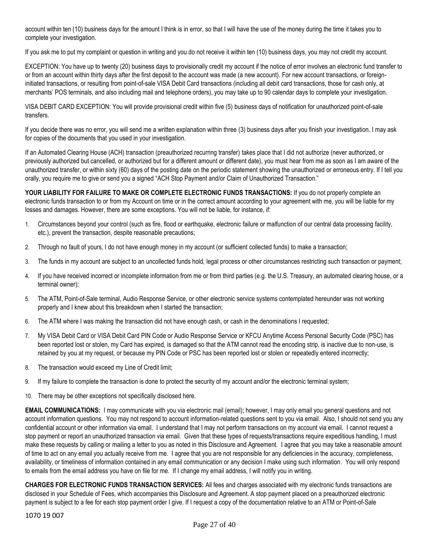account within ten (10) business days for the amount I think is in error, so that I will have the use of the money during the time it takes you to complete your investigation.

If you ask me to put my complaint or question in writing and you do not receive it within ten (10) business days, you may not credit my account.

EXCEPTION: You have up to twenty (20) business days to provisionally credit my account if the notice of error involves an electronic fund transfer to or from an account within thirty days after the first deposit to the account was made (a new account). For new account transactions, or foreigninitiated transactions, or resulting from point-of-sale VISA Debit Card transactions (including all debit card transactions, those for cash only, at merchants' POS terminals, and also including mail and telephone orders), you may take up to 90 calendar days to complete your investigation.

VISA DEBIT CARD EXCEPTION: You will provide provisional credit within five (5) business days of notification for unauthorized point-of-sale transfers.

If you decide there was no error, you will send me a written explanation within three (3) business days after you finish your investigation. I may ask for copies of the documents that you used in your investigation.

If an Automated Clearing House (ACH) transaction (preauthorized recurring transfer) takes place that I did not authorize (never authorized, or previously authorized but cancelled, or authorized but for a different amount or different date), you must hear from me as soon as I am aware of the unauthorized transfer, or within sixty (60) days of the posting date on the periodic statement showing the unauthorized or erroneous entry. If I tell you orally, you require me to give or send you a signed "ACH Stop Payment and/or Claim of Unauthorized Transaction."

**YOUR LIABILITY FOR FAILURE TO MAKE OR COMPLETE ELECTRONIC FUNDS TRANSACTIONS:** If you do not properly complete an electronic funds transaction to or from my Account on time or in the correct amount according to your agreement with me, you will be liable for my losses and damages. However, there are some exceptions. You will not be liable, for instance, if:

- 1. Circumstances beyond your control (such as fire, flood or earthquake, electronic failure or malfunction of our central data processing facility, etc.), prevent the transaction, despite reasonable precautions;
- 2. Through no fault of yours, I do not have enough money in my account (or sufficient collected funds) to make a transaction;
- 3. The funds in my account are subject to an uncollected funds hold, legal process or other circumstances restricting such transaction or payment;
- 4. If you have received incorrect or incomplete information from me or from third parties (e.g. the U.S. Treasury, an automated clearing house, or a terminal owner);
- 5. The ATM, Point-of-Sale terminal, Audio Response Service, or other electronic service systems contemplated hereunder was not working properly and I knew about this breakdown when I started the transaction;
- 6. The ATM where I was making the transaction did not have enough cash, or cash in the denominations I requested;
- 7. My VISA Debit Card or VISA Debit Card PIN Code or Audio Response Service or KFCU Anytime Access Personal Security Code (PSC) has been reported lost or stolen, my Card has expired, is damaged so that the ATM cannot read the encoding strip, is inactive due to non-use, is retained by you at my request, or because my PIN Code or PSC has been reported lost or stolen or repeatedly entered incorrectly;
- 8. The transaction would exceed my Line of Credit limit;
- 9. If my failure to complete the transaction is done to protect the security of my account and/or the electronic terminal system;
- 10. There may be other exceptions not specifically disclosed here.

**EMAIL COMMUNICATIONS:** I may communicate with you via electronic mail (email); however, I may only email you general questions and not account information questions. You may not respond to account information-related questions sent to you via email. Also, I should not send you any confidential account or other information via email. I understand that I may not perform transactions on my account via email. I cannot request a stop payment or report an unauthorized transaction via email. Given that these types of requests/transactions require expeditious handling. I must make these requests by calling or mailing a letter to you as noted in this Disclosure and Agreement. I agree that you may take a reasonable amount of time to act on any email you actually receive from me. I agree that you are not responsible for any deficiencies in the accuracy, completeness, availability, or timeliness of information contained in any email communication or any decision I make using such information. You will only respond to emails from the email address you have on file for me. If I change my email address, I will notify you in writing.

**CHARGES FOR ELECTRONIC FUNDS TRANSACTION SERVICES:** All fees and charges associated with my electronic funds transactions are disclosed in your Schedule of Fees, which accompanies this Disclosure and Agreement. A stop payment placed on a preauthorized electronic payment is subject to a fee for each stop payment order I give. If I request a copy of the documentation relative to an ATM or Point-of-Sale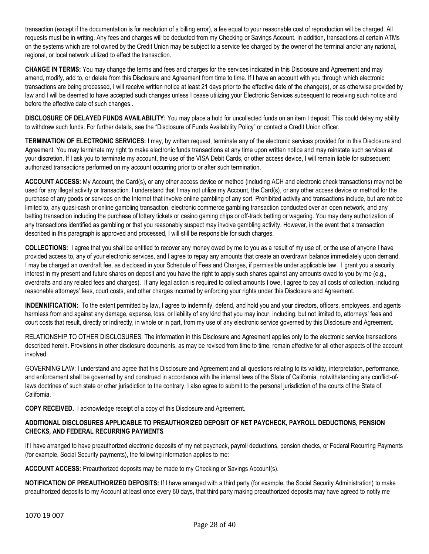transaction (except if the documentation is for resolution of a billing error), a fee equal to your reasonable cost of reproduction will be charged. All requests must be in writing. Any fees and charges will be deducted from my Checking or Savings Account. In addition, transactions at certain ATMs on the systems which are not owned by the Credit Union may be subject to a service fee charged by the owner of the terminal and/or any national, regional, or local network utilized to effect the transaction.

**CHANGE IN TERMS:** You may change the terms and fees and charges for the services indicated in this Disclosure and Agreement and may amend, modify, add to, or delete from this Disclosure and Agreement from time to time. If I have an account with you through which electronic transactions are being processed, I will receive written notice at least 21 days prior to the effective date of the change(s), or as otherwise provided by law and I will be deemed to have accepted such changes unless I cease utilizing your Electronic Services subsequent to receiving such notice and before the effective date of such changes..

**DISCLOSURE OF DELAYED FUNDS AVAILABILITY:** You may place a hold for uncollected funds on an item I deposit. This could delay my ability to withdraw such funds. For further details, see the "Disclosure of Funds Availability Policy" or contact a Credit Union officer.

**TERMINATION OF ELECTRONIC SERVICES:** I may, by written request, terminate any of the electronic services provided for in this Disclosure and Agreement. You may terminate my right to make electronic funds transactions at any time upon written notice and may reinstate such services at your discretion. If I ask you to terminate my account, the use of the VISA Debit Cards, or other access device, I will remain liable for subsequent authorized transactions performed on my account occurring prior to or after such termination.

**ACCOUNT ACCESS:** My Account, the Card(s), or any other access device or method (including ACH and electronic check transactions) may not be used for any illegal activity or transaction. I understand that I may not utilize my Account, the Card(s), or any other access device or method for the purchase of any goods or services on the Internet that involve online gambling of any sort. Prohibited activity and transactions include, but are not be limited to, any quasi-cash or online gambling transaction, electronic commerce gambling transaction conducted over an open network, and any betting transaction including the purchase of lottery tickets or casino gaming chips or off-track betting or wagering. You may deny authorization of any transactions identified as gambling or that you reasonably suspect may involve gambling activity. However, in the event that a transaction described in this paragraph is approved and processed, I will still be responsible for such charges.

**COLLECTIONS:** I agree that you shall be entitled to recover any money owed by me to you as a result of my use of, or the use of anyone I have provided access to, any of your electronic services, and I agree to repay any amounts that create an overdrawn balance immediately upon demand. I may be charged an overdraft fee, as disclosed in your Schedule of Fees and Charges, if permissible under applicable law. I grant you a security interest in my present and future shares on deposit and you have the right to apply such shares against any amounts owed to you by me (e.g., overdrafts and any related fees and charges). If any legal action is required to collect amounts I owe, I agree to pay all costs of collection, including reasonable attorneys' fees, court costs, and other charges incurred by enforcing your rights under this Disclosure and Agreement.

**INDEMNIFICATION:** To the extent permitted by law, I agree to indemnify, defend, and hold you and your directors, officers, employees, and agents harmless from and against any damage, expense, loss, or liability of any kind that you may incur, including, but not limited to, attorneys' fees and court costs that result, directly or indirectly, in whole or in part, from my use of any electronic service governed by this Disclosure and Agreement.

RELATIONSHIP TO OTHER DISCLOSURES: The information in this Disclosure and Agreement applies only to the electronic service transactions described herein. Provisions in other disclosure documents, as may be revised from time to time, remain effective for all other aspects of the account involved.

GOVERNING LAW: I understand and agree that this Disclosure and Agreement and all questions relating to its validity, interpretation, performance, and enforcement shall be governed by and construed in accordance with the internal laws of the State of California, notwithstanding any conflict-oflaws doctrines of such state or other jurisdiction to the contrary. I also agree to submit to the personal jurisdiction of the courts of the State of California.

**COPY RECEIVED.** I acknowledge receipt of a copy of this Disclosure and Agreement.

## **ADDITIONAL DISCLOSURES APPLICABLE TO PREAUTHORIZED DEPOSIT OF NET PAYCHECK, PAYROLL DEDUCTIONS, PENSION CHECKS, AND FEDERAL RECURRING PAYMENTS**

If I have arranged to have preauthorized electronic deposits of my net paycheck, payroll deductions, pension checks, or Federal Recurring Payments (for example, Social Security payments), the following information applies to me:

**ACCOUNT ACCESS:** Preauthorized deposits may be made to my Checking or Savings Account(s).

**NOTIFICATION OF PREAUTHORIZED DEPOSITS:** If I have arranged with a third party (for example, the Social Security Administration) to make preauthorized deposits to my Account at least once every 60 days, that third party making preauthorized deposits may have agreed to notify me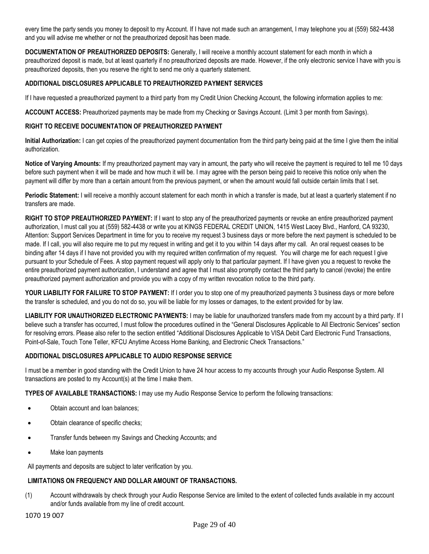every time the party sends you money to deposit to my Account. If I have not made such an arrangement, I may telephone you at (559) 582-4438 and you will advise me whether or not the preauthorized deposit has been made.

**DOCUMENTATION OF PREAUTHORIZED DEPOSITS:** Generally, I will receive a monthly account statement for each month in which a preauthorized deposit is made, but at least quarterly if no preauthorized deposits are made. However, if the only electronic service I have with you is preauthorized deposits, then you reserve the right to send me only a quarterly statement.

## **ADDITIONAL DISCLOSURES APPLICABLE TO PREAUTHORIZED PAYMENT SERVICES**

If I have requested a preauthorized payment to a third party from my Credit Union Checking Account, the following information applies to me:

**ACCOUNT ACCESS:** Preauthorized payments may be made from my Checking or Savings Account. (Limit 3 per month from Savings).

### **RIGHT TO RECEIVE DOCUMENTATION OF PREAUTHORIZED PAYMENT**

**Initial Authorization:** I can get copies of the preauthorized payment documentation from the third party being paid at the time I give them the initial authorization.

**Notice of Varying Amounts:** If my preauthorized payment may vary in amount, the party who will receive the payment is required to tell me 10 days before such payment when it will be made and how much it will be. I may agree with the person being paid to receive this notice only when the payment will differ by more than a certain amount from the previous payment, or when the amount would fall outside certain limits that I set.

**Periodic Statement:** I will receive a monthly account statement for each month in which a transfer is made, but at least a quarterly statement if no transfers are made.

**RIGHT TO STOP PREAUTHORIZED PAYMENT:** If I want to stop any of the preauthorized payments or revoke an entire preauthorized payment authorization, I must call you at (559) 582-4438 or write you at KINGS FEDERAL CREDIT UNION, 1415 West Lacey Blvd., Hanford, CA 93230, Attention: Support Services Department in time for you to receive my request 3 business days or more before the next payment is scheduled to be made. If I call, you will also require me to put my request in writing and get it to you within 14 days after my call. An oral request ceases to be binding after 14 days if I have not provided you with my required written confirmation of my request. You will charge me for each request I give pursuant to your Schedule of Fees. A stop payment request will apply only to that particular payment. If I have given you a request to revoke the entire preauthorized payment authorization, I understand and agree that I must also promptly contact the third party to cancel (revoke) the entire preauthorized payment authorization and provide you with a copy of my written revocation notice to the third party.

**YOUR LIABILITY FOR FAILURE TO STOP PAYMENT:** If I order you to stop one of my preauthorized payments 3 business days or more before the transfer is scheduled, and you do not do so, you will be liable for my losses or damages, to the extent provided for by law.

**LIABILITY FOR UNAUTHORIZED ELECTRONIC PAYMENTS:** I may be liable for unauthorized transfers made from my account by a third party. If I believe such a transfer has occurred, I must follow the procedures outlined in the "General Disclosures Applicable to All Electronic Services" section for resolving errors. Please also refer to the section entitled "Additional Disclosures Applicable to VISA Debit Card Electronic Fund Transactions, Point-of-Sale, Touch Tone Teller, KFCU Anytime Access Home Banking, and Electronic Check Transactions."

## **ADDITIONAL DISCLOSURES APPLICABLE TO AUDIO RESPONSE SERVICE**

I must be a member in good standing with the Credit Union to have 24 hour access to my accounts through your Audio Response System. All transactions are posted to my Account(s) at the time I make them.

**TYPES OF AVAILABLE TRANSACTIONS:** I may use my Audio Response Service to perform the following transactions:

- Obtain account and loan balances;
- Obtain clearance of specific checks;
- Transfer funds between my Savings and Checking Accounts; and
- Make loan payments

All payments and deposits are subject to later verification by you.

# **LIMITATIONS ON FREQUENCY AND DOLLAR AMOUNT OF TRANSACTIONS.**

(1) Account withdrawals by check through your Audio Response Service are limited to the extent of collected funds available in my account and/or funds available from my line of credit account.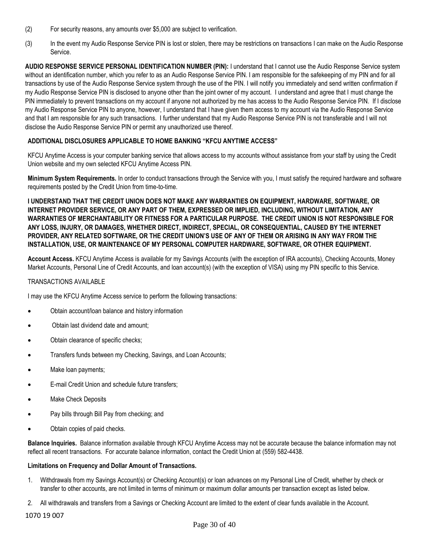- (2) For security reasons, any amounts over \$5,000 are subject to verification.
- (3) In the event my Audio Response Service PIN is lost or stolen, there may be restrictions on transactions I can make on the Audio Response Service.

**AUDIO RESPONSE SERVICE PERSONAL IDENTIFICATION NUMBER (PIN):** I understand that I cannot use the Audio Response Service system without an identification number, which you refer to as an Audio Response Service PIN. I am responsible for the safekeeping of my PIN and for all transactions by use of the Audio Response Service system through the use of the PIN. I will notify you immediately and send written confirmation if my Audio Response Service PIN is disclosed to anyone other than the joint owner of my account. I understand and agree that I must change the PIN immediately to prevent transactions on my account if anyone not authorized by me has access to the Audio Response Service PIN. If I disclose my Audio Response Service PIN to anyone, however, I understand that I have given them access to my account via the Audio Response Service and that I am responsible for any such transactions. I further understand that my Audio Response Service PIN is not transferable and I will not disclose the Audio Response Service PIN or permit any unauthorized use thereof.

## **ADDITIONAL DISCLOSURES APPLICABLE TO HOME BANKING "KFCU ANYTIME ACCESS"**

KFCU Anytime Access is your computer banking service that allows access to my accounts without assistance from your staff by using the Credit Union website and my own selected KFCU Anytime Access PIN.

**Minimum System Requirements.** In order to conduct transactions through the Service with you, I must satisfy the required hardware and software requirements posted by the Credit Union from time-to-time.

**I UNDERSTAND THAT THE CREDIT UNION DOES NOT MAKE ANY WARRANTIES ON EQUIPMENT, HARDWARE, SOFTWARE, OR INTERNET PROVIDER SERVICE, OR ANY PART OF THEM, EXPRESSED OR IMPLIED, INCLUDING, WITHOUT LIMITATION, ANY WARRANTIES OF MERCHANTABILITY OR FITNESS FOR A PARTICULAR PURPOSE. THE CREDIT UNION IS NOT RESPONSIBLE FOR ANY LOSS, INJURY, OR DAMAGES, WHETHER DIRECT, INDIRECT, SPECIAL, OR CONSEQUENTIAL, CAUSED BY THE INTERNET PROVIDER, ANY RELATED SOFTWARE, OR THE CREDIT UNION'S USE OF ANY OF THEM OR ARISING IN ANY WAY FROM THE INSTALLATION, USE, OR MAINTENANCE OF MY PERSONAL COMPUTER HARDWARE, SOFTWARE, OR OTHER EQUIPMENT.**

**Account Access.** KFCU Anytime Access is available for my Savings Accounts (with the exception of IRA accounts), Checking Accounts, Money Market Accounts, Personal Line of Credit Accounts, and loan account(s) (with the exception of VISA) using my PIN specific to this Service.

#### TRANSACTIONS AVAILABLE

I may use the KFCU Anytime Access service to perform the following transactions:

- Obtain account/loan balance and history information
- Obtain last dividend date and amount;
- Obtain clearance of specific checks;
- Transfers funds between my Checking, Savings, and Loan Accounts;
- Make loan payments;
- E-mail Credit Union and schedule future transfers;
- Make Check Deposits
- Pay bills through Bill Pay from checking; and
- Obtain copies of paid checks.

**Balance Inquiries.** Balance information available through KFCU Anytime Access may not be accurate because the balance information may not reflect all recent transactions. For accurate balance information, contact the Credit Union at (559) 582-4438.

#### **Limitations on Frequency and Dollar Amount of Transactions.**

- 1. Withdrawals from my Savings Account(s) or Checking Account(s) or loan advances on my Personal Line of Credit, whether by check or transfer to other accounts, are not limited in terms of minimum or maximum dollar amounts per transaction except as listed below.
- 2. All withdrawals and transfers from a Savings or Checking Account are limited to the extent of clear funds available in the Account.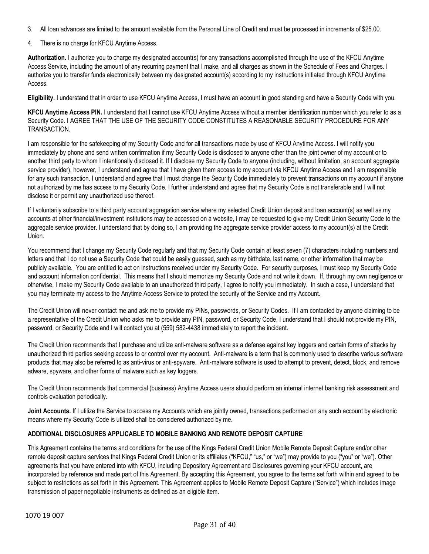- 3. All loan advances are limited to the amount available from the Personal Line of Credit and must be processed in increments of \$25.00.
- 4. There is no charge for KFCU Anytime Access.

**Authorization.** I authorize you to charge my designated account(s) for any transactions accomplished through the use of the KFCU Anytime Access Service, including the amount of any recurring payment that I make, and all charges as shown in the Schedule of Fees and Charges. I authorize you to transfer funds electronically between my designated account(s) according to my instructions initiated through KFCU Anytime Access.

**Eligibility.** I understand that in order to use KFCU Anytime Access, I must have an account in good standing and have a Security Code with you.

**KFCU Anytime Access PIN.** I understand that I cannot use KFCU Anytime Access without a member identification number which you refer to as a Security Code. I AGREE THAT THE USE OF THE SECURITY CODE CONSTITUTES A REASONABLE SECURITY PROCEDURE FOR ANY TRANSACTION.

I am responsible for the safekeeping of my Security Code and for all transactions made by use of KFCU Anytime Access. I will notify you immediately by phone and send written confirmation if my Security Code is disclosed to anyone other than the joint owner of my account or to another third party to whom I intentionally disclosed it. If I disclose my Security Code to anyone (including, without limitation, an account aggregate service provider), however, I understand and agree that I have given them access to my account via KFCU Anytime Access and I am responsible for any such transaction. I understand and agree that I must change the Security Code immediately to prevent transactions on my account if anyone not authorized by me has access to my Security Code. I further understand and agree that my Security Code is not transferable and I will not disclose it or permit any unauthorized use thereof.

If I voluntarily subscribe to a third party account aggregation service where my selected Credit Union deposit and loan account(s) as well as my accounts at other financial/investment institutions may be accessed on a website, I may be requested to give my Credit Union Security Code to the aggregate service provider. I understand that by doing so, I am providing the aggregate service provider access to my account(s) at the Credit Union.

You recommend that I change my Security Code regularly and that my Security Code contain at least seven (7) characters including numbers and letters and that I do not use a Security Code that could be easily guessed, such as my birthdate, last name, or other information that may be publicly available. You are entitled to act on instructions received under my Security Code. For security purposes, I must keep my Security Code and account information confidential. This means that I should memorize my Security Code and not write it down. If, through my own negligence or otherwise, I make my Security Code available to an unauthorized third party, I agree to notify you immediately. In such a case, I understand that you may terminate my access to the Anytime Access Service to protect the security of the Service and my Account.

The Credit Union will never contact me and ask me to provide my PINs, passwords, or Security Codes. If I am contacted by anyone claiming to be a representative of the Credit Union who asks me to provide any PIN, password, or Security Code, I understand that I should not provide my PIN, password, or Security Code and I will contact you at (559) 582-4438 immediately to report the incident.

The Credit Union recommends that I purchase and utilize anti-malware software as a defense against key loggers and certain forms of attacks by unauthorized third parties seeking access to or control over my account. Anti-malware is a term that is commonly used to describe various software products that may also be referred to as anti-virus or anti-spyware. Anti-malware software is used to attempt to prevent, detect, block, and remove adware, spyware, and other forms of malware such as key loggers.

The Credit Union recommends that commercial (business) Anytime Access users should perform an internal internet banking risk assessment and controls evaluation periodically.

Joint Accounts. If I utilize the Service to access my Accounts which are jointly owned, transactions performed on any such account by electronic means where my Security Code is utilized shall be considered authorized by me.

## **ADDITIONAL DISCLOSURES APPLICABLE TO MOBILE BANKING AND REMOTE DEPOSIT CAPTURE**

This Agreement contains the terms and conditions for the use of the Kings Federal Credit Union Mobile Remote Deposit Capture and/or other remote deposit capture services that Kings Federal Credit Union or its affiliates ("KFCU," "us," or "we") may provide to you ("you" or "we"). Other agreements that you have entered into with KFCU, including Depository Agreement and Disclosures governing your KFCU account, are incorporated by reference and made part of this Agreement. By accepting this Agreement, you agree to the terms set forth within and agreed to be subject to restrictions as set forth in this Agreement. This Agreement applies to Mobile Remote Deposit Capture ("Service") which includes image transmission of paper negotiable instruments as defined as an eligible item.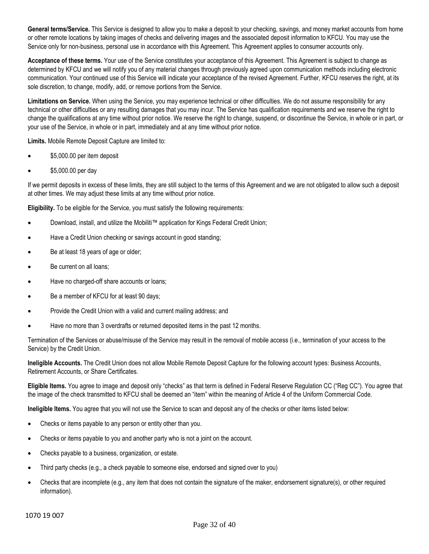**General terms/Service.** This Service is designed to allow you to make a deposit to your checking, savings, and money market accounts from home or other remote locations by taking images of checks and delivering images and the associated deposit information to KFCU. You may use the Service only for non-business, personal use in accordance with this Agreement. This Agreement applies to consumer accounts only.

Acceptance of these terms. Your use of the Service constitutes your acceptance of this Agreement. This Agreement is subject to change as determined by KFCU and we will notify you of any material changes through previously agreed upon communication methods including electronic communication. Your continued use of this Service will indicate your acceptance of the revised Agreement. Further, KFCU reserves the right, at its sole discretion, to change, modify, add, or remove portions from the Service.

**Limitations on Service.** When using the Service, you may experience technical or other difficulties. We do not assume responsibility for any technical or other difficulties or any resulting damages that you may incur. The Service has qualification requirements and we reserve the right to change the qualifications at any time without prior notice. We reserve the right to change, suspend, or discontinue the Service, in whole or in part, or your use of the Service, in whole or in part, immediately and at any time without prior notice.

**Limits.** Mobile Remote Deposit Capture are limited to:

- \$5,000.00 per item deposit
- \$5,000.00 per day

If we permit deposits in excess of these limits, they are still subject to the terms of this Agreement and we are not obligated to allow such a deposit at other times. We may adjust these limits at any time without prior notice.

**Eligibility.** To be eligible for the Service, you must satisfy the following requirements:

- Download, install, and utilize the Mobiliti™ application for Kings Federal Credit Union;
- Have a Credit Union checking or savings account in good standing;
- Be at least 18 years of age or older;
- Be current on all loans:
- Have no charged-off share accounts or loans;
- Be a member of KFCU for at least 90 days;
- Provide the Credit Union with a valid and current mailing address; and
- Have no more than 3 overdrafts or returned deposited items in the past 12 months.

Termination of the Services or abuse/misuse of the Service may result in the removal of mobile access (i.e., termination of your access to the Service) by the Credit Union.

**Ineligible Accounts.** The Credit Union does not allow Mobile Remote Deposit Capture for the following account types: Business Accounts, Retirement Accounts, or Share Certificates.

**Eligible Items.** You agree to image and deposit only "checks" as that term is defined in Federal Reserve Regulation CC ("Reg CC"). You agree that the image of the check transmitted to KFCU shall be deemed an "item" within the meaning of Article 4 of the Uniform Commercial Code.

**Ineligible Items.** You agree that you will not use the Service to scan and deposit any of the checks or other items listed below:

- Checks or items payable to any person or entity other than you.
- Checks or items payable to you and another party who is not a joint on the account.
- Checks payable to a business, organization, or estate.
- Third party checks (e.g., a check payable to someone else, endorsed and signed over to you)
- Checks that are incomplete (e.g., any item that does not contain the signature of the maker, endorsement signature(s), or other required information).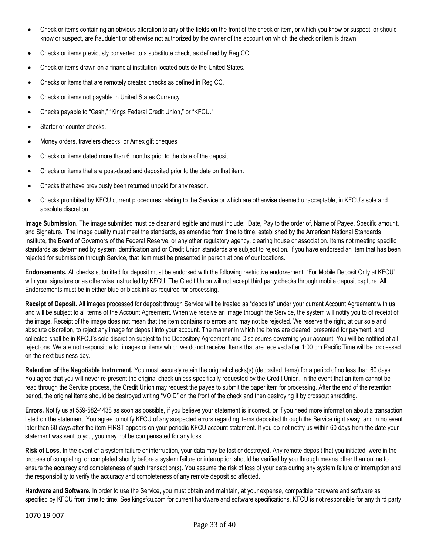- Check or items containing an obvious alteration to any of the fields on the front of the check or item, or which you know or suspect, or should know or suspect, are fraudulent or otherwise not authorized by the owner of the account on which the check or item is drawn.
- Checks or items previously converted to a substitute check, as defined by Reg CC.
- Check or items drawn on a financial institution located outside the United States.
- Checks or items that are remotely created checks as defined in Reg CC.
- Checks or items not payable in United States Currency.
- Checks payable to "Cash," "Kings Federal Credit Union," or "KFCU."
- Starter or counter checks.
- Money orders, travelers checks, or Amex gift cheques
- Checks or items dated more than 6 months prior to the date of the deposit.
- Checks or items that are post-dated and deposited prior to the date on that item.
- Checks that have previously been returned unpaid for any reason.
- Checks prohibited by KFCU current procedures relating to the Service or which are otherwise deemed unacceptable, in KFCU's sole and absolute discretion.

**Image Submission.** The image submitted must be clear and legible and must include: Date, Pay to the order of, Name of Payee, Specific amount, and Signature. The image quality must meet the standards, as amended from time to time, established by the American National Standards Institute, the Board of Governors of the Federal Reserve, or any other regulatory agency, clearing house or association. Items not meeting specific standards as determined by system identification and or Credit Union standards are subject to rejection. If you have endorsed an item that has been rejected for submission through Service, that item must be presented in person at one of our locations.

**Endorsements.** All checks submitted for deposit must be endorsed with the following restrictive endorsement: "For Mobile Deposit Only at KFCU" with your signature or as otherwise instructed by KFCU. The Credit Union will not accept third party checks through mobile deposit capture. All Endorsements must be in either blue or black ink as required for processing.

**Receipt of Deposit.** All images processed for deposit through Service will be treated as "deposits" under your current Account Agreement with us and will be subject to all terms of the Account Agreement. When we receive an image through the Service, the system will notify you to of receipt of the image. Receipt of the image does not mean that the item contains no errors and may not be rejected. We reserve the right, at our sole and absolute discretion, to reject any image for deposit into your account. The manner in which the items are cleared, presented for payment, and collected shall be in KFCU's sole discretion subject to the Depository Agreement and Disclosures governing your account. You will be notified of all rejections. We are not responsible for images or items which we do not receive. Items that are received after 1:00 pm Pacific Time will be processed on the next business day.

**Retention of the Negotiable Instrument.** You must securely retain the original checks(s) (deposited items) for a period of no less than 60 days. You agree that you will never re-present the original check unless specifically requested by the Credit Union. In the event that an item cannot be read through the Service process, the Credit Union may request the payee to submit the paper item for processing. After the end of the retention period, the original items should be destroyed writing "VOID" on the front of the check and then destroying it by crosscut shredding.

**Errors.** Notify us at 559-582-4438 as soon as possible, if you believe your statement is incorrect, or if you need more information about a transaction listed on the statement. You agree to notify KFCU of any suspected errors regarding items deposited through the Service right away, and in no event later than 60 days after the item FIRST appears on your periodic KFCU account statement. If you do not notify us within 60 days from the date your statement was sent to you, you may not be compensated for any loss.

**Risk of Loss.** In the event of a system failure or interruption, your data may be lost or destroyed. Any remote deposit that you initiated, were in the process of completing, or completed shortly before a system failure or interruption should be verified by you through means other than online to ensure the accuracy and completeness of such transaction(s). You assume the risk of loss of your data during any system failure or interruption and the responsibility to verify the accuracy and completeness of any remote deposit so affected.

**Hardware and Software.** In order to use the Service, you must obtain and maintain, at your expense, compatible hardware and software as specified by KFCU from time to time. See kingsfcu.com for current hardware and software specifications. KFCU is not responsible for any third party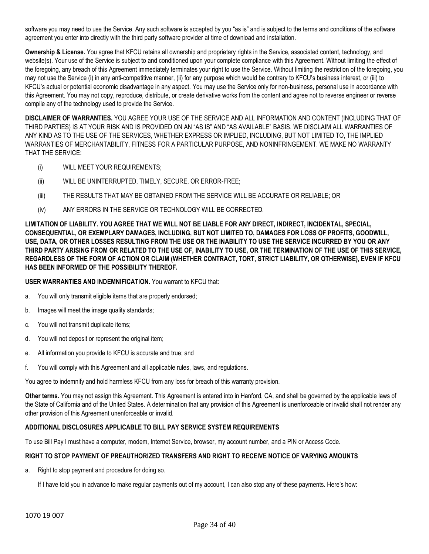software you may need to use the Service. Any such software is accepted by you "as is" and is subject to the terms and conditions of the software agreement you enter into directly with the third party software provider at time of download and installation.

**Ownership & License.** You agree that KFCU retains all ownership and proprietary rights in the Service, associated content, technology, and website(s). Your use of the Service is subject to and conditioned upon your complete compliance with this Agreement. Without limiting the effect of the foregoing, any breach of this Agreement immediately terminates your right to use the Service. Without limiting the restriction of the foregoing, you may not use the Service (i) in any anti-competitive manner, (ii) for any purpose which would be contrary to KFCU's business interest, or (iii) to KFCU's actual or potential economic disadvantage in any aspect. You may use the Service only for non-business, personal use in accordance with this Agreement. You may not copy, reproduce, distribute, or create derivative works from the content and agree not to reverse engineer or reverse compile any of the technology used to provide the Service.

**DISCLAIMER OF WARRANTIES.** YOU AGREE YOUR USE OF THE SERVICE AND ALL INFORMATION AND CONTENT (INCLUDING THAT OF THIRD PARTIES) IS AT YOUR RISK AND IS PROVIDED ON AN "AS IS" AND "AS AVAILABLE" BASIS. WE DISCLAIM ALL WARRANTIES OF ANY KIND AS TO THE USE OF THE SERVICES, WHETHER EXPRESS OR IMPLIED, INCLUDING, BUT NOT LIMITED TO, THE IMPLIED WARRANTIES OF MERCHANTABILITY, FITNESS FOR A PARTICULAR PURPOSE, AND NONINFRINGEMENT. WE MAKE NO WARRANTY THAT THE SERVICE:

- (i) WILL MEET YOUR REQUIREMENTS;
- (ii) WILL BE UNINTERRUPTED, TIMELY, SECURE, OR ERROR-FREE;
- (iii) THE RESULTS THAT MAY BE OBTAINED FROM THE SERVICE WILL BE ACCURATE OR RELIABLE; OR
- (iv) ANY ERRORS IN THE SERVICE OR TECHNOLOGY WILL BE CORRECTED.

**LIMITATION OF LIABILITY. YOU AGREE THAT WE WILL NOT BE LIABLE FOR ANY DIRECT, INDIRECT, INCIDENTAL, SPECIAL, CONSEQUENTIAL, OR EXEMPLARY DAMAGES, INCLUDING, BUT NOT LIMITED TO, DAMAGES FOR LOSS OF PROFITS, GOODWILL, USE, DATA, OR OTHER LOSSES RESULTING FROM THE USE OR THE INABILITY TO USE THE SERVICE INCURRED BY YOU OR ANY THIRD PARTY ARISING FROM OR RELATED TO THE USE OF, INABILITY TO USE, OR THE TERMINATION OF THE USE OF THIS SERVICE, REGARDLESS OF THE FORM OF ACTION OR CLAIM (WHETHER CONTRACT, TORT, STRICT LIABILITY, OR OTHERWISE), EVEN IF KFCU HAS BEEN INFORMED OF THE POSSIBILITY THEREOF.**

#### **USER WARRANTIES AND INDEMNIFICATION.** You warrant to KFCU that:

- a. You will only transmit eligible items that are properly endorsed;
- b. Images will meet the image quality standards;
- c. You will not transmit duplicate items;
- d. You will not deposit or represent the original item;
- e. All information you provide to KFCU is accurate and true; and
- f. You will comply with this Agreement and all applicable rules, laws, and regulations.

You agree to indemnify and hold harmless KFCU from any loss for breach of this warranty provision.

**Other terms.** You may not assign this Agreement. This Agreement is entered into in Hanford, CA, and shall be governed by the applicable laws of the State of California and of the United States. A determination that any provision of this Agreement is unenforceable or invalid shall not render any other provision of this Agreement unenforceable or invalid.

#### **ADDITIONAL DISCLOSURES APPLICABLE TO BILL PAY SERVICE SYSTEM REQUIREMENTS**

To use Bill Pay I must have a computer, modem, Internet Service, browser, my account number, and a PIN or Access Code.

#### **RIGHT TO STOP PAYMENT OF PREAUTHORIZED TRANSFERS AND RIGHT TO RECEIVE NOTICE OF VARYING AMOUNTS**

a. Right to stop payment and procedure for doing so.

If I have told you in advance to make regular payments out of my account, I can also stop any of these payments. Here's how: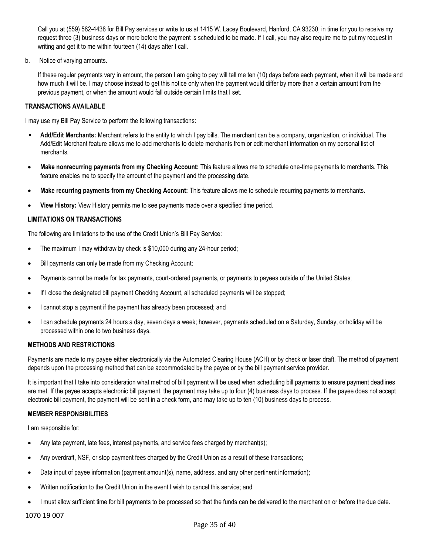Call you at (559) 582-4438 for Bill Pay services or write to us at 1415 W. Lacey Boulevard, Hanford, CA 93230, in time for you to receive my request three (3) business days or more before the payment is scheduled to be made. If I call, you may also require me to put my request in writing and get it to me within fourteen (14) days after I call.

b. Notice of varying amounts.

If these regular payments vary in amount, the person I am going to pay will tell me ten (10) days before each payment, when it will be made and how much it will be. I may choose instead to get this notice only when the payment would differ by more than a certain amount from the previous payment, or when the amount would fall outside certain limits that I set.

### **TRANSACTIONS AVAILABLE**

I may use my Bill Pay Service to perform the following transactions:

- **Add/Edit Merchants:** Merchant refers to the entity to which I pay bills. The merchant can be a company, organization, or individual. The Add/Edit Merchant feature allows me to add merchants to delete merchants from or edit merchant information on my personal list of merchants.
- **Make nonrecurring payments from my Checking Account:** This feature allows me to schedule one-time payments to merchants. This feature enables me to specify the amount of the payment and the processing date.
- **Make recurring payments from my Checking Account:** This feature allows me to schedule recurring payments to merchants.
- **View History:** View History permits me to see payments made over a specified time period.

### **LIMITATIONS ON TRANSACTIONS**

The following are limitations to the use of the Credit Union's Bill Pay Service:

- The maximum I may withdraw by check is \$10,000 during any 24-hour period;
- Bill payments can only be made from my Checking Account;
- Payments cannot be made for tax payments, court-ordered payments, or payments to payees outside of the United States;
- If I close the designated bill payment Checking Account, all scheduled payments will be stopped;
- I cannot stop a payment if the payment has already been processed; and
- I can schedule payments 24 hours a day, seven days a week; however, payments scheduled on a Saturday, Sunday, or holiday will be processed within one to two business days.

#### **METHODS AND RESTRICTIONS**

Payments are made to my payee either electronically via the Automated Clearing House (ACH) or by check or laser draft. The method of payment depends upon the processing method that can be accommodated by the payee or by the bill payment service provider.

It is important that I take into consideration what method of bill payment will be used when scheduling bill payments to ensure payment deadlines are met. If the payee accepts electronic bill payment, the payment may take up to four (4) business days to process. If the payee does not accept electronic bill payment, the payment will be sent in a check form, and may take up to ten (10) business days to process.

## **MEMBER RESPONSIBILITIES**

I am responsible for:

- Any late payment, late fees, interest payments, and service fees charged by merchant(s);
- Any overdraft, NSF, or stop payment fees charged by the Credit Union as a result of these transactions;
- Data input of payee information (payment amount(s), name, address, and any other pertinent information);
- Written notification to the Credit Union in the event I wish to cancel this service; and
- I must allow sufficient time for bill payments to be processed so that the funds can be delivered to the merchant on or before the due date.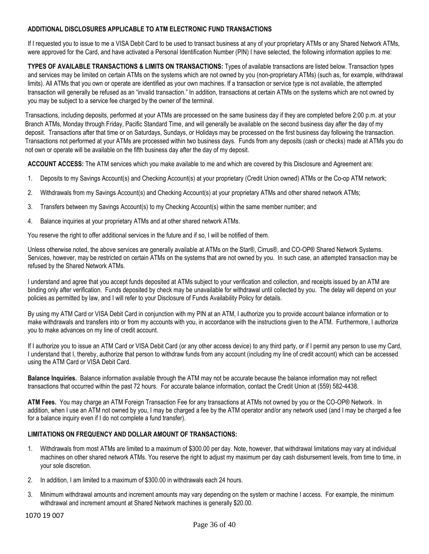## **ADDITIONAL DISCLOSURES APPLICABLE TO ATM ELECTRONIC FUND TRANSACTIONS**

If I requested you to issue to me a VISA Debit Card to be used to transact business at any of your proprietary ATMs or any Shared Network ATMs, were approved for the Card, and have activated a Personal Identification Number (PIN) I have selected, the following information applies to me:

**TYPES OF AVAILABLE TRANSACTIONS & LIMITS ON TRANSACTIONS:** Types of available transactions are listed below. Transaction types and services may be limited on certain ATMs on the systems which are not owned by you (non-proprietary ATMs) (such as, for example, withdrawal limits). All ATMs that you own or operate are identified as your own machines. If a transaction or service type is not available, the attempted transaction will generally be refused as an "invalid transaction." In addition, transactions at certain ATMs on the systems which are not owned by you may be subject to a service fee charged by the owner of the terminal.

Transactions, including deposits, performed at your ATMs are processed on the same business day if they are completed before 2:00 p.m. at your Branch ATMs, Monday through Friday, Pacific Standard Time, and will generally be available on the second business day after the day of my deposit. Transactions after that time or on Saturdays, Sundays, or Holidays may be processed on the first business day following the transaction. Transactions not performed at your ATMs are processed within two business days. Funds from any deposits (cash or checks) made at ATMs you do not own or operate will be available on the fifth business day after the day of my deposit.

**ACCOUNT ACCESS:** The ATM services which you make available to me and which are covered by this Disclosure and Agreement are:

- 1. Deposits to my Savings Account(s) and Checking Account(s) at your proprietary (Credit Union owned) ATMs or the Co-op ATM network;
- 2. Withdrawals from my Savings Account(s) and Checking Account(s) at your proprietary ATMs and other shared network ATMs;
- 3. Transfers between my Savings Account(s) to my Checking Account(s) within the same member number; and
- 4. Balance inquiries at your proprietary ATMs and at other shared network ATMs.

You reserve the right to offer additional services in the future and if so, I will be notified of them.

Unless otherwise noted, the above services are generally available at ATMs on the Star®, Cirrus®, and CO-OP® Shared Network Systems. Services, however, may be restricted on certain ATMs on the systems that are not owned by you. In such case, an attempted transaction may be refused by the Shared Network ATMs.

I understand and agree that you accept funds deposited at ATMs subject to your verification and collection, and receipts issued by an ATM are binding only after verification. Funds deposited by check may be unavailable for withdrawal until collected by you. The delay will depend on your policies as permitted by law, and I will refer to your Disclosure of Funds Availability Policy for details.

By using my ATM Card or VISA Debit Card in conjunction with my PIN at an ATM, I authorize you to provide account balance information or to make withdrawals and transfers into or from my accounts with you, in accordance with the instructions given to the ATM. Furthermore, I authorize you to make advances on my line of credit account.

If I authorize you to issue an ATM Card or VISA Debit Card (or any other access device) to any third party, or if I permit any person to use my Card, I understand that I, thereby, authorize that person to withdraw funds from any account (including my line of credit account) which can be accessed using the ATM Card or VISA Debit Card.

**Balance Inquiries.** Balance information available through the ATM may not be accurate because the balance information may not reflect transactions that occurred within the past 72 hours. For accurate balance information, contact the Credit Union at (559) 582-4438.

**ATM Fees.** You may charge an ATM Foreign Transaction Fee for any transactions at ATMs not owned by you or the CO-OP® Network. In addition, when I use an ATM not owned by you, I may be charged a fee by the ATM operator and/or any network used (and I may be charged a fee for a balance inquiry even if I do not complete a fund transfer).

#### **LIMITATIONS ON FREQUENCY AND DOLLAR AMOUNT OF TRANSACTIONS:**

- 1. Withdrawals from most ATMs are limited to a maximum of \$300.00 per day. Note, however, that withdrawal limitations may vary at individual machines on other shared network ATMs. You reserve the right to adjust my maximum per day cash disbursement levels, from time to time, in your sole discretion.
- 2. In addition, I am limited to a maximum of \$300.00 in withdrawals each 24 hours.
- 3. Minimum withdrawal amounts and increment amounts may vary depending on the system or machine I access. For example, the minimum withdrawal and increment amount at Shared Network machines is generally \$20.00.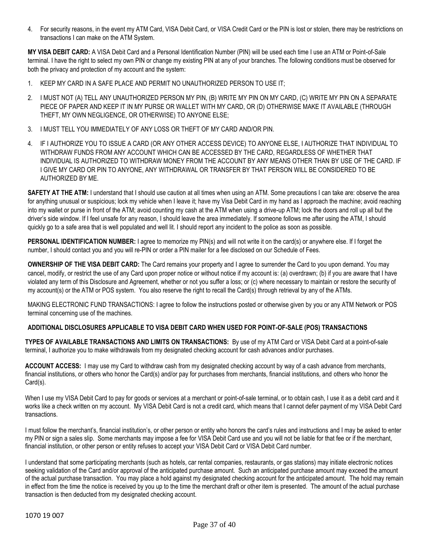4. For security reasons, in the event my ATM Card, VISA Debit Card, or VISA Credit Card or the PIN is lost or stolen, there may be restrictions on transactions I can make on the ATM System.

**MY VISA DEBIT CARD:** A VISA Debit Card and a Personal Identification Number (PIN) will be used each time I use an ATM or Point-of-Sale terminal. I have the right to select my own PIN or change my existing PIN at any of your branches. The following conditions must be observed for both the privacy and protection of my account and the system:

- 1. KEEP MY CARD IN A SAFE PLACE AND PERMIT NO UNAUTHORIZED PERSON TO USE IT;
- 2. I MUST NOT (A) TELL ANY UNAUTHORIZED PERSON MY PIN, (B) WRITE MY PIN ON MY CARD, (C) WRITE MY PIN ON A SEPARATE PIECE OF PAPER AND KEEP IT IN MY PURSE OR WALLET WITH MY CARD, OR (D) OTHERWISE MAKE IT AVAILABLE (THROUGH THEFT, MY OWN NEGLIGENCE, OR OTHERWISE) TO ANYONE ELSE;
- 3. I MUST TELL YOU IMMEDIATELY OF ANY LOSS OR THEFT OF MY CARD AND/OR PIN.
- 4. IF I AUTHORIZE YOU TO ISSUE A CARD (OR ANY OTHER ACCESS DEVICE) TO ANYONE ELSE, I AUTHORIZE THAT INDIVIDUAL TO WITHDRAW FUNDS FROM ANY ACCOUNT WHICH CAN BE ACCESSED BY THE CARD, REGARDLESS OF WHETHER THAT INDIVIDUAL IS AUTHORIZED TO WITHDRAW MONEY FROM THE ACCOUNT BY ANY MEANS OTHER THAN BY USE OF THE CARD. IF I GIVE MY CARD OR PIN TO ANYONE, ANY WITHDRAWAL OR TRANSFER BY THAT PERSON WILL BE CONSIDERED TO BE AUTHORIZED BY ME.

**SAFETY AT THE ATM:** I understand that I should use caution at all times when using an ATM. Some precautions I can take are: observe the area for anything unusual or suspicious; lock my vehicle when I leave it; have my Visa Debit Card in my hand as I approach the machine; avoid reaching into my wallet or purse in front of the ATM; avoid counting my cash at the ATM when using a drive-up ATM; lock the doors and roll up all but the driver's side window. If I feel unsafe for any reason, I should leave the area immediately. If someone follows me after using the ATM, I should quickly go to a safe area that is well populated and well lit. I should report any incident to the police as soon as possible.

**PERSONAL IDENTIFICATION NUMBER:** I agree to memorize my PlN(s) and will not write it on the card(s) or anywhere else. If I forget the number, I should contact you and you will re-PIN or order a PIN mailer for a fee disclosed on our Schedule of Fees.

**OWNERSHIP OF THE VISA DEBIT CARD:** The Card remains your property and I agree to surrender the Card to you upon demand. You may cancel, modify, or restrict the use of any Card upon proper notice or without notice if my account is: (a) overdrawn; (b) if you are aware that I have violated any term of this Disclosure and Agreement, whether or not you suffer a loss; or (c) where necessary to maintain or restore the security of my account(s) or the ATM or POS system. You also reserve the right to recall the Card(s) through retrieval by any of the ATMs.

MAKING ELECTRONIC FUND TRANSACTIONS: I agree to follow the instructions posted or otherwise given by you or any ATM Network or POS terminal concerning use of the machines.

#### **ADDITIONAL DISCLOSURES APPLICABLE TO VISA DEBIT CARD WHEN USED FOR POINT-OF-SALE (POS) TRANSACTIONS**

**TYPES OF AVAILABLE TRANSACTIONS AND LIMITS ON TRANSACTIONS:** By use of my ATM Card or VISA Debit Card at a point-of-sale terminal, I authorize you to make withdrawals from my designated checking account for cash advances and/or purchases.

**ACCOUNT ACCESS:** I may use my Card to withdraw cash from my designated checking account by way of a cash advance from merchants, financial institutions, or others who honor the Card(s) and/or pay for purchases from merchants, financial institutions, and others who honor the Card(s).

When I use my VISA Debit Card to pay for goods or services at a merchant or point-of-sale terminal, or to obtain cash, I use it as a debit card and it works like a check written on my account. My VISA Debit Card is not a credit card, which means that I cannot defer payment of my VISA Debit Card transactions.

I must follow the merchant's, financial institution's, or other person or entity who honors the card's rules and instructions and I may be asked to enter my PIN or sign a sales slip. Some merchants may impose a fee for VISA Debit Card use and you will not be liable for that fee or if the merchant, financial institution, or other person or entity refuses to accept your VISA Debit Card or VISA Debit Card number.

I understand that some participating merchants (such as hotels, car rental companies, restaurants, or gas stations) may initiate electronic notices seeking validation of the Card and/or approval of the anticipated purchase amount. Such an anticipated purchase amount may exceed the amount of the actual purchase transaction. You may place a hold against my designated checking account for the anticipated amount. The hold may remain in effect from the time the notice is received by you up to the time the merchant draft or other item is presented. The amount of the actual purchase transaction is then deducted from my designated checking account.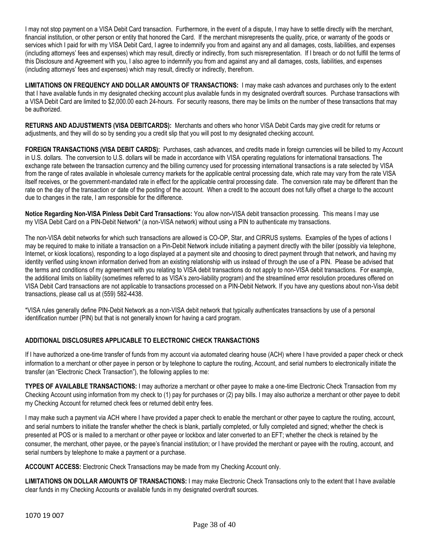I may not stop payment on a VISA Debit Card transaction. Furthermore, in the event of a dispute, I may have to settle directly with the merchant, financial institution, or other person or entity that honored the Card. If the merchant misrepresents the quality, price, or warranty of the goods or services which I paid for with my VISA Debit Card, I agree to indemnify you from and against any and all damages, costs, liabilities, and expenses (including attorneys' fees and expenses) which may result, directly or indirectly, from such misrepresentation. If I breach or do not fulfill the terms of this Disclosure and Agreement with you, I also agree to indemnify you from and against any and all damages, costs, liabilities, and expenses (including attorneys' fees and expenses) which may result, directly or indirectly, therefrom.

**LIMITATIONS ON FREQUENCY AND DOLLAR AMOUNTS OF TRANSACTIONS:** I may make cash advances and purchases only to the extent that I have available funds in my designated checking account plus available funds in my designated overdraft sources. Purchase transactions with a VISA Debit Card are limited to \$2,000.00 each 24-hours. For security reasons, there may be limits on the number of these transactions that may be authorized.

**RETURNS AND ADJUSTMENTS (VISA DEBITCARDS):** Merchants and others who honor VISA Debit Cards may give credit for returns or adjustments, and they will do so by sending you a credit slip that you will post to my designated checking account.

**FOREIGN TRANSACTIONS (VISA DEBIT CARDS):** Purchases, cash advances, and credits made in foreign currencies will be billed to my Account in U.S. dollars. The conversion to U.S. dollars will be made in accordance with VISA operating regulations for international transactions. The exchange rate between the transaction currency and the billing currency used for processing international transactions is a rate selected by VISA from the range of rates available in wholesale currency markets for the applicable central processing date, which rate may vary from the rate VISA itself receives, or the government-mandated rate in effect for the applicable central processing date. The conversion rate may be different than the rate on the day of the transaction or date of the posting of the account. When a credit to the account does not fully offset a charge to the account due to changes in the rate, I am responsible for the difference.

**Notice Regarding Non-VISA Pinless Debit Card Transactions:** You allow non**-**VISA debit transaction processing. This means I may use my VISA Debit Card on a PIN-Debit Network\* (a non-VISA network) without using a PIN to authenticate my transactions.

The non-VISA debit networks for which such transactions are allowed is CO-OP, Star, and CIRRUS systems. Examples of the types of actions I may be required to make to initiate a transaction on a Pin-Debit Network include initiating a payment directly with the biller (possibly via telephone, Internet, or kiosk locations), responding to a logo displayed at a payment site and choosing to direct payment through that network, and having my identity verified using known information derived from an existing relationship with us instead of through the use of a PIN. Please be advised that the terms and conditions of my agreement with you relating to VISA debit transactions do not apply to non-VISA debit transactions. For example, the additional limits on liability (sometimes referred to as VISA's zero-liability program) and the streamlined error resolution procedures offered on VISA Debit Card transactions are not applicable to transactions processed on a PIN-Debit Network. If you have any questions about non-Visa debit transactions, please call us at (559) 582-4438.

\*VISA rules generally define PIN-Debit Network as a non-VISA debit network that typically authenticates transactions by use of a personal identification number (PIN) but that is not generally known for having a card program.

## **ADDITIONAL DISCLOSURES APPLICABLE TO ELECTRONIC CHECK TRANSACTIONS**

If I have authorized a one-time transfer of funds from my account via automated clearing house (ACH) where I have provided a paper check or check information to a merchant or other payee in person or by telephone to capture the routing, Account, and serial numbers to electronically initiate the transfer (an "Electronic Check Transaction"), the following applies to me:

**TYPES OF AVAILABLE TRANSACTIONS:** I may authorize a merchant or other payee to make a one-time Electronic Check Transaction from my Checking Account using information from my check to (1) pay for purchases or (2) pay bills. I may also authorize a merchant or other payee to debit my Checking Account for returned check fees or returned debit entry fees.

I may make such a payment via ACH where I have provided a paper check to enable the merchant or other payee to capture the routing, account, and serial numbers to initiate the transfer whether the check is blank, partially completed, or fully completed and signed; whether the check is presented at POS or is mailed to a merchant or other payee or lockbox and later converted to an EFT; whether the check is retained by the consumer, the merchant, other payee, or the payee's financial institution; or I have provided the merchant or payee with the routing, account, and serial numbers by telephone to make a payment or a purchase.

**ACCOUNT ACCESS:** Electronic Check Transactions may be made from my Checking Account only.

**LIMITATIONS ON DOLLAR AMOUNTS OF TRANSACTIONS:** I may make Electronic Check Transactions only to the extent that I have available clear funds in my Checking Accounts or available funds in my designated overdraft sources.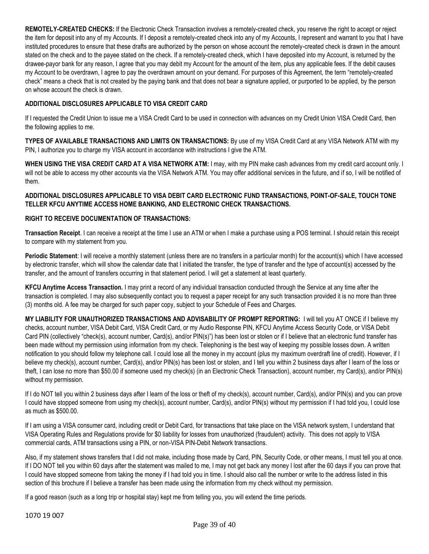**REMOTELY-CREATED CHECKS:** If the Electronic Check Transaction involves a remotely-created check, you reserve the right to accept or reject the item for deposit into any of my Accounts. If I deposit a remotely-created check into any of my Accounts, I represent and warrant to you that I have instituted procedures to ensure that these drafts are authorized by the person on whose account the remotely-created check is drawn in the amount stated on the check and to the payee stated on the check. If a remotely-created check, which I have deposited into my Account, is returned by the drawee-payor bank for any reason, I agree that you may debit my Account for the amount of the item, plus any applicable fees. If the debit causes my Account to be overdrawn, I agree to pay the overdrawn amount on your demand. For purposes of this Agreement, the term "remotely-created check" means a check that is not created by the paying bank and that does not bear a signature applied, or purported to be applied, by the person on whose account the check is drawn.

## **ADDITIONAL DISCLOSURES APPLICABLE TO VISA CREDIT CARD**

If I requested the Credit Union to issue me a VISA Credit Card to be used in connection with advances on my Credit Union VISA Credit Card, then the following applies to me.

**TYPES OF AVAILABLE TRANSACTIONS AND LIMITS ON TRANSACTIONS:** By use of my VISA Credit Card at any VISA Network ATM with my PIN, I authorize you to charge my VISA account in accordance with instructions I give the ATM.

**WHEN USING THE VISA CREDIT CARD AT A VISA NETWORK ATM:** I may, with my PIN make cash advances from my credit card account only. I will not be able to access my other accounts via the VISA Network ATM. You may offer additional services in the future, and if so, I will be notified of them.

## **ADDITIONAL DISCLOSURES APPLICABLE TO VISA DEBIT CARD ELECTRONIC FUND TRANSACTIONS, POINT-OF-SALE, TOUCH TONE TELLER KFCU ANYTIME ACCESS HOME BANKING, AND ELECTRONIC CHECK TRANSACTIONS.**

## **RIGHT TO RECEIVE DOCUMENTATION OF TRANSACTIONS:**

**Transaction Receipt**. I can receive a receipt at the time I use an ATM or when I make a purchase using a POS terminal. I should retain this receipt to compare with my statement from you.

**Periodic Statement**: I will receive a monthly statement (unless there are no transfers in a particular month) for the account(s) which I have accessed by electronic transfer, which will show the calendar date that I initiated the transfer, the type of transfer and the type of account(s) accessed by the transfer, and the amount of transfers occurring in that statement period. I will get a statement at least quarterly.

**KFCU Anytime Access Transaction.** I may print a record of any individual transaction conducted through the Service at any time after the transaction is completed. I may also subsequently contact you to request a paper receipt for any such transaction provided it is no more than three (3) months old. A fee may be charged for such paper copy, subject to your Schedule of Fees and Charges.

**MY LIABILITY FOR UNAUTHORIZED TRANSACTIONS AND ADVISABILITY OF PROMPT REPORTING:** I will tell you AT ONCE if I believe my checks, account number, VISA Debit Card, VISA Credit Card, or my Audio Response PIN, KFCU Anytime Access Security Code, or VISA Debit Card PIN (collectively "check(s), account number, Card(s), and/or PIN(s)") has been lost or stolen or if I believe that an electronic fund transfer has been made without my permission using information from my check. Telephoning is the best way of keeping my possible losses down. A written notification to you should follow my telephone call. I could lose all the money in my account (plus my maximum overdraft line of credit). However, if I believe my check(s), account number, Card(s), and/or PIN(s) has been lost or stolen, and I tell you within 2 business days after I learn of the loss or theft, I can lose no more than \$50.00 if someone used my check(s) (in an Electronic Check Transaction), account number, my Card(s), and/or PIN(s) without my permission.

If I do NOT tell you within 2 business days after I learn of the loss or theft of my check(s), account number, Card(s), and/or PIN(s) and you can prove I could have stopped someone from using my check(s), account number, Card(s), and/or PIN(s) without my permission if I had told you, I could lose as much as \$500.00.

If I am using a VISA consumer card, including credit or Debit Card, for transactions that take place on the VISA network system, I understand that VISA Operating Rules and Regulations provide for \$0 liability for losses from unauthorized (fraudulent) activity. This does not apply to VISA commercial cards, ATM transactions using a PIN, or non-VISA PIN-Debit Network transactions.

Also, if my statement shows transfers that I did not make, including those made by Card, PIN, Security Code, or other means, I must tell you at once. If I DO NOT tell you within 60 days after the statement was mailed to me, I may not get back any money I lost after the 60 days if you can prove that I could have stopped someone from taking the money if I had told you in time. I should also call the number or write to the address listed in this section of this brochure if I believe a transfer has been made using the information from my check without my permission.

If a good reason (such as a long trip or hospital stay) kept me from telling you, you will extend the time periods.